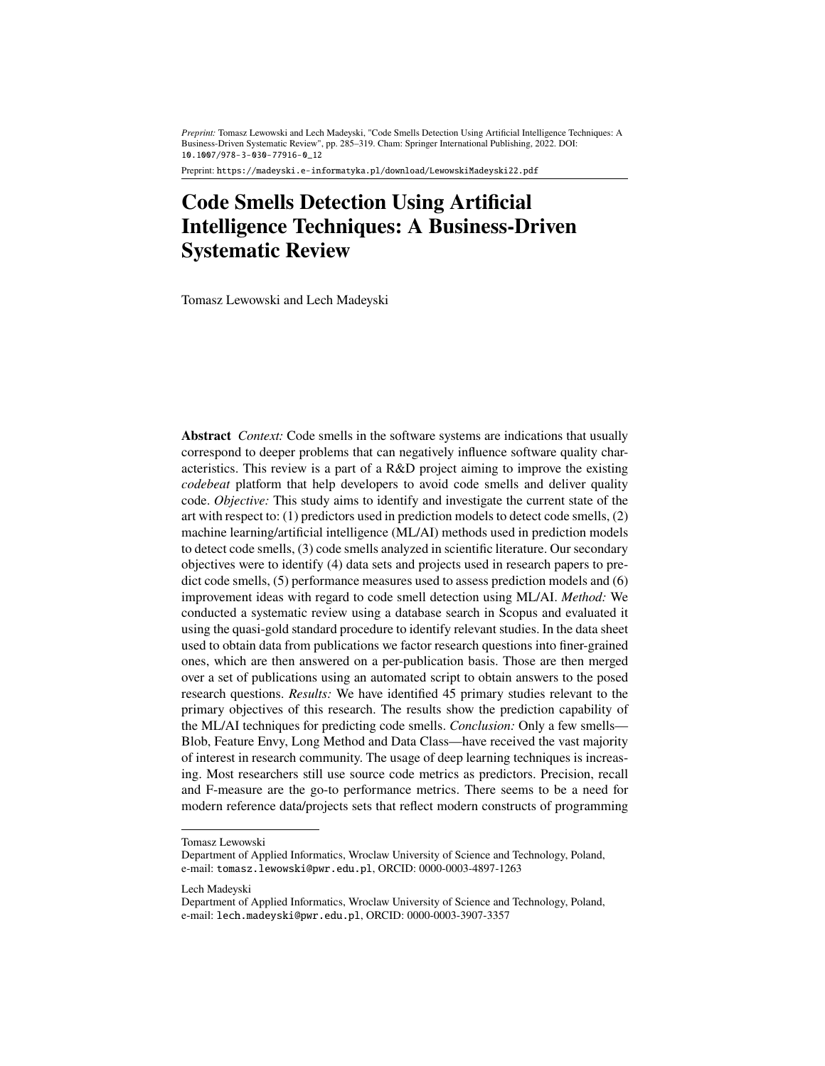*Preprint:* Tomasz Lewowski and Lech Madeyski, "Code Smells Detection Using Artificial Intelligence Techniques: A Business-Driven Systematic Review", pp. 285–319. Cham: Springer International Publishing, 2022. DOI: [10.1007/978-3-030-77916-0\\_12](http://dx.doi.org/10.1007/978-3-030-77916-0_12)

Preprint: <https://madeyski.e-informatyka.pl/download/LewowskiMadeyski22.pdf>

# **Code Smells Detection Using Artificial Intelligence Techniques: A Business-Driven Systematic Review**

Tomasz Lewowski and Lech Madeyski

**Abstract** *Context:* Code smells in the software systems are indications that usually correspond to deeper problems that can negatively influence software quality characteristics. This review is a part of a R&D project aiming to improve the existing *codebeat* platform that help developers to avoid code smells and deliver quality code. *Objective:* This study aims to identify and investigate the current state of the art with respect to: (1) predictors used in prediction models to detect code smells, (2) machine learning/artificial intelligence (ML/AI) methods used in prediction models to detect code smells, (3) code smells analyzed in scientific literature. Our secondary objectives were to identify (4) data sets and projects used in research papers to predict code smells, (5) performance measures used to assess prediction models and (6) improvement ideas with regard to code smell detection using ML/AI. *Method:* We conducted a systematic review using a database search in Scopus and evaluated it using the quasi-gold standard procedure to identify relevant studies. In the data sheet used to obtain data from publications we factor research questions into finer-grained ones, which are then answered on a per-publication basis. Those are then merged over a set of publications using an automated script to obtain answers to the posed research questions. *Results:* We have identified 45 primary studies relevant to the primary objectives of this research. The results show the prediction capability of the ML/AI techniques for predicting code smells. *Conclusion:* Only a few smells— Blob, Feature Envy, Long Method and Data Class—have received the vast majority of interest in research community. The usage of deep learning techniques is increasing. Most researchers still use source code metrics as predictors. Precision, recall and F-measure are the go-to performance metrics. There seems to be a need for modern reference data/projects sets that reflect modern constructs of programming

Tomasz Lewowski

Department of Applied Informatics, Wroclaw University of Science and Technology, Poland, e-mail: <tomasz.lewowski@pwr.edu.pl>, ORCID: 0000-0003-4897-1263

Lech Madeyski

Department of Applied Informatics, Wroclaw University of Science and Technology, Poland, e-mail: <lech.madeyski@pwr.edu.pl>, ORCID: 0000-0003-3907-3357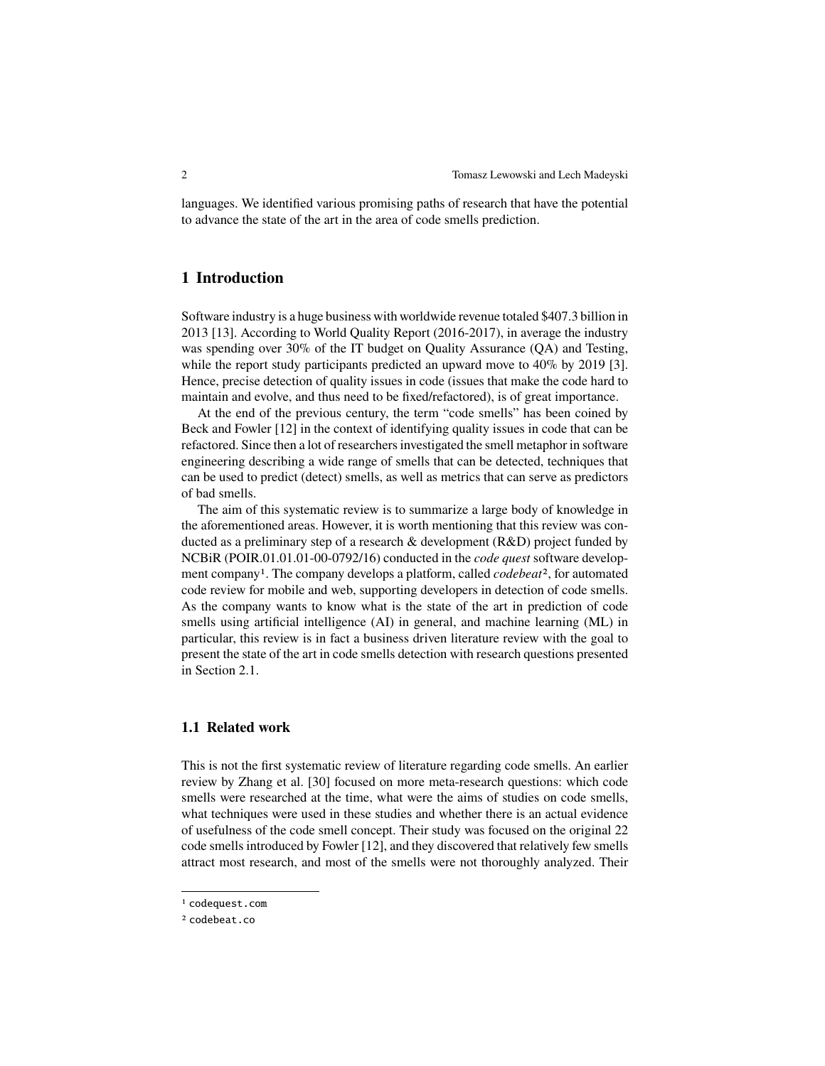languages. We identified various promising paths of research that have the potential to advance the state of the art in the area of code smells prediction.

# **1 Introduction**

Software industry is a huge business with worldwide revenue totaled \$407.3 billion in 2013 [\[13\]](#page-29-0). According to World Quality Report (2016-2017), in average the industry was spending over 30% of the IT budget on Quality Assurance (QA) and Testing, while the report study participants predicted an upward move to 40% by 2019 [\[3\]](#page-28-0). Hence, precise detection of quality issues in code (issues that make the code hard to maintain and evolve, and thus need to be fixed/refactored), is of great importance.

At the end of the previous century, the term "code smells" has been coined by Beck and Fowler [\[12\]](#page-29-1) in the context of identifying quality issues in code that can be refactored. Since then a lot of researchers investigated the smell metaphor in software engineering describing a wide range of smells that can be detected, techniques that can be used to predict (detect) smells, as well as metrics that can serve as predictors of bad smells.

The aim of this systematic review is to summarize a large body of knowledge in the aforementioned areas. However, it is worth mentioning that this review was conducted as a preliminary step of a research & development (R&D) project funded by NCBiR (POIR.01.01.01-00-0792/16) conducted in the *code quest* software development company[1](#page-1-0). The company develops a platform, called *codebeat*[2](#page-1-1), for automated code review for mobile and web, supporting developers in detection of code smells. As the company wants to know what is the state of the art in prediction of code smells using artificial intelligence (AI) in general, and machine learning (ML) in particular, this review is in fact a business driven literature review with the goal to present the state of the art in code smells detection with research questions presented in Section [2.1.](#page-3-0)

### **1.1 Related work**

This is not the first systematic review of literature regarding code smells. An earlier review by Zhang et al. [\[30\]](#page-30-0) focused on more meta-research questions: which code smells were researched at the time, what were the aims of studies on code smells, what techniques were used in these studies and whether there is an actual evidence of usefulness of the code smell concept. Their study was focused on the original 22 code smells introduced by Fowler [\[12\]](#page-29-1), and they discovered that relatively few smells attract most research, and most of the smells were not thoroughly analyzed. Their

<span id="page-1-0"></span><sup>1</sup> <codequest.com>

<span id="page-1-1"></span><sup>2</sup> <codebeat.co>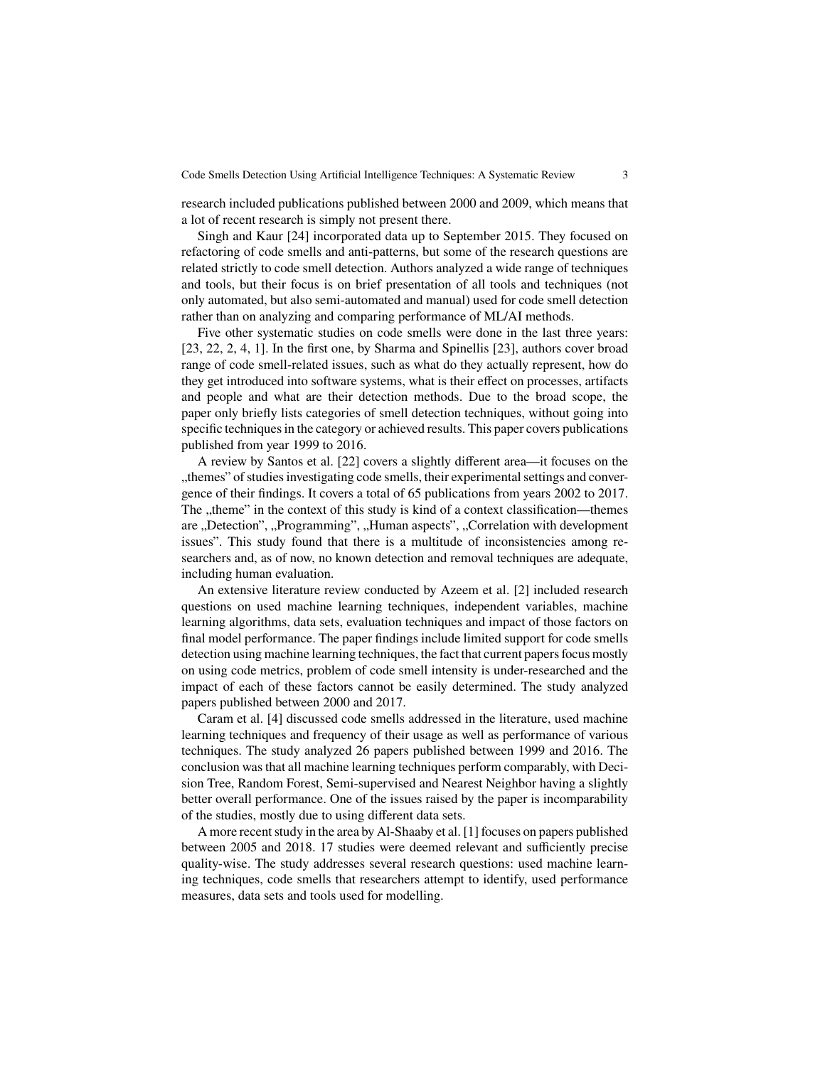research included publications published between 2000 and 2009, which means that a lot of recent research is simply not present there.

Singh and Kaur [\[24\]](#page-30-1) incorporated data up to September 2015. They focused on refactoring of code smells and anti-patterns, but some of the research questions are related strictly to code smell detection. Authors analyzed a wide range of techniques and tools, but their focus is on brief presentation of all tools and techniques (not only automated, but also semi-automated and manual) used for code smell detection rather than on analyzing and comparing performance of ML/AI methods.

Five other systematic studies on code smells were done in the last three years: [\[23,](#page-30-2) [22,](#page-30-3) [2,](#page-28-1) [4,](#page-28-2) [1\]](#page-28-3). In the first one, by Sharma and Spinellis [\[23\]](#page-30-2), authors cover broad range of code smell-related issues, such as what do they actually represent, how do they get introduced into software systems, what is their effect on processes, artifacts and people and what are their detection methods. Due to the broad scope, the paper only briefly lists categories of smell detection techniques, without going into specific techniques in the category or achieved results. This paper covers publications published from year 1999 to 2016.

A review by Santos et al. [\[22\]](#page-30-3) covers a slightly different area—it focuses on the "themes" of studies investigating code smells, their experimental settings and convergence of their findings. It covers a total of 65 publications from years 2002 to 2017. The "theme" in the context of this study is kind of a context classification—themes are "Detection", "Programming", "Human aspects", "Correlation with development issues". This study found that there is a multitude of inconsistencies among researchers and, as of now, no known detection and removal techniques are adequate, including human evaluation.

An extensive literature review conducted by Azeem et al. [\[2\]](#page-28-1) included research questions on used machine learning techniques, independent variables, machine learning algorithms, data sets, evaluation techniques and impact of those factors on final model performance. The paper findings include limited support for code smells detection using machine learning techniques, the fact that current papers focus mostly on using code metrics, problem of code smell intensity is under-researched and the impact of each of these factors cannot be easily determined. The study analyzed papers published between 2000 and 2017.

Caram et al. [\[4\]](#page-28-2) discussed code smells addressed in the literature, used machine learning techniques and frequency of their usage as well as performance of various techniques. The study analyzed 26 papers published between 1999 and 2016. The conclusion was that all machine learning techniques perform comparably, with Decision Tree, Random Forest, Semi-supervised and Nearest Neighbor having a slightly better overall performance. One of the issues raised by the paper is incomparability of the studies, mostly due to using different data sets.

A more recent study in the area by Al-Shaaby et al. [\[1\]](#page-28-3) focuses on papers published between 2005 and 2018. 17 studies were deemed relevant and sufficiently precise quality-wise. The study addresses several research questions: used machine learning techniques, code smells that researchers attempt to identify, used performance measures, data sets and tools used for modelling.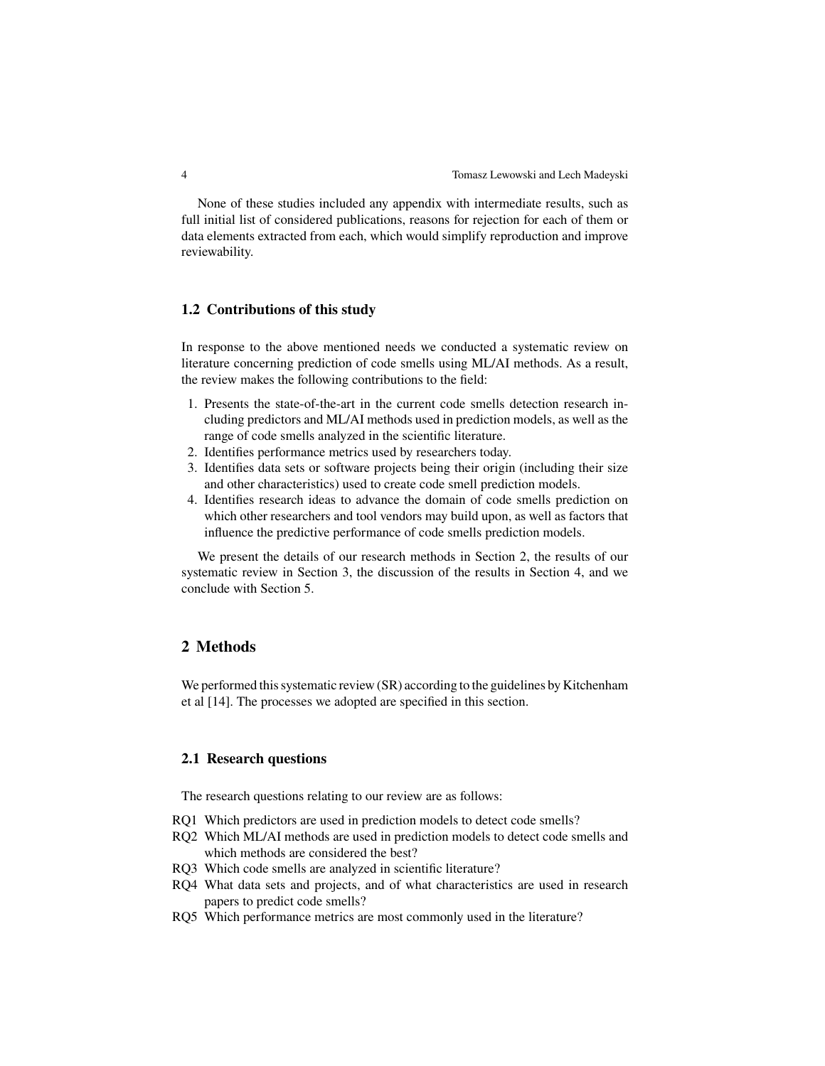None of these studies included any appendix with intermediate results, such as full initial list of considered publications, reasons for rejection for each of them or data elements extracted from each, which would simplify reproduction and improve reviewability.

# **1.2 Contributions of this study**

In response to the above mentioned needs we conducted a systematic review on literature concerning prediction of code smells using ML/AI methods. As a result, the review makes the following contributions to the field:

- 1. Presents the state-of-the-art in the current code smells detection research including predictors and ML/AI methods used in prediction models, as well as the range of code smells analyzed in the scientific literature.
- 2. Identifies performance metrics used by researchers today.
- 3. Identifies data sets or software projects being their origin (including their size and other characteristics) used to create code smell prediction models.
- 4. Identifies research ideas to advance the domain of code smells prediction on which other researchers and tool vendors may build upon, as well as factors that influence the predictive performance of code smells prediction models.

We present the details of our research methods in Section [2,](#page-3-1) the results of our systematic review in Section [3,](#page-17-0) the discussion of the results in Section [4,](#page-25-0) and we conclude with Section [5.](#page-27-0)

# <span id="page-3-1"></span>**2 Methods**

We performed this systematic review (SR) according to the guidelines by Kitchenham et al [\[14\]](#page-29-2). The processes we adopted are specified in this section.

### <span id="page-3-0"></span>**2.1 Research questions**

The research questions relating to our review are as follows:

- RQ1 Which predictors are used in prediction models to detect code smells?
- RQ2 Which ML/AI methods are used in prediction models to detect code smells and which methods are considered the best?
- RQ3 Which code smells are analyzed in scientific literature?
- RQ4 What data sets and projects, and of what characteristics are used in research papers to predict code smells?
- RQ5 Which performance metrics are most commonly used in the literature?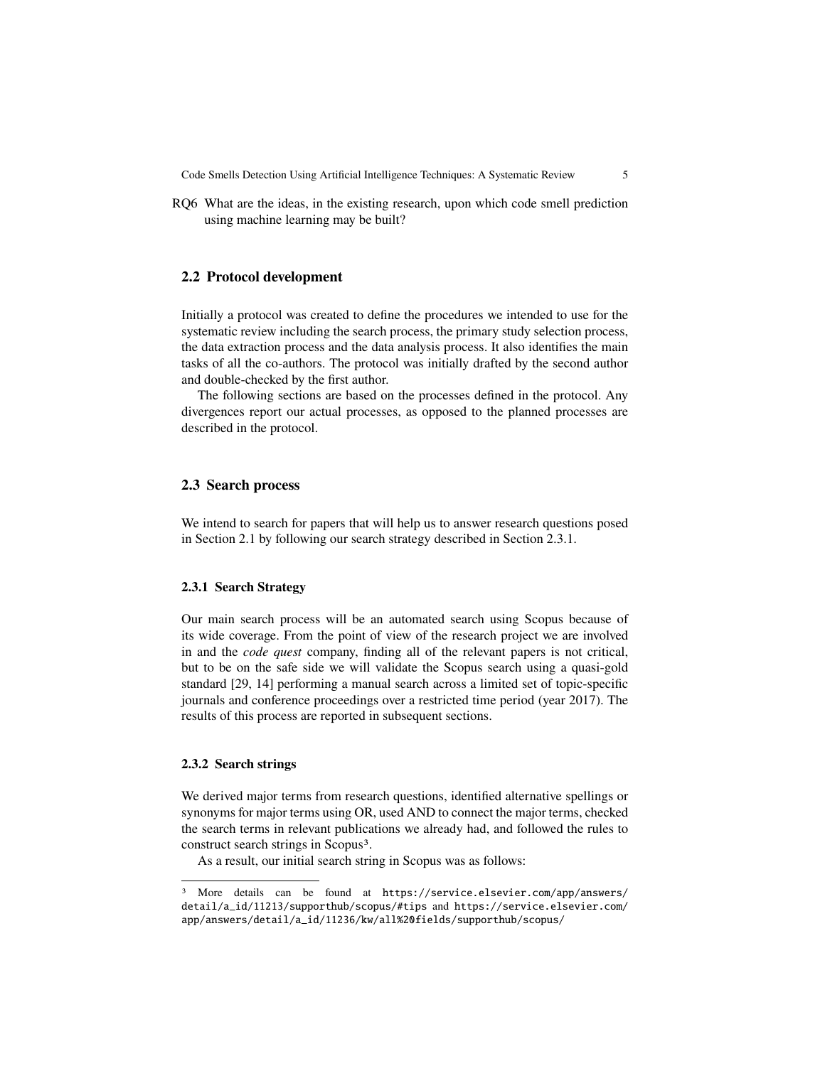RQ6 What are the ideas, in the existing research, upon which code smell prediction using machine learning may be built?

# **2.2 Protocol development**

Initially a protocol was created to define the procedures we intended to use for the systematic review including the search process, the primary study selection process, the data extraction process and the data analysis process. It also identifies the main tasks of all the co-authors. The protocol was initially drafted by the second author and double-checked by the first author.

The following sections are based on the processes defined in the protocol. Any divergences report our actual processes, as opposed to the planned processes are described in the protocol.

# **2.3 Search process**

We intend to search for papers that will help us to answer research questions posed in Section [2.1](#page-3-0) by following our search strategy described in Section [2.3.1.](#page-4-0)

#### <span id="page-4-0"></span>**2.3.1 Search Strategy**

Our main search process will be an automated search using Scopus because of its wide coverage. From the point of view of the research project we are involved in and the *code quest* company, finding all of the relevant papers is not critical, but to be on the safe side we will validate the Scopus search using a quasi-gold standard [\[29,](#page-30-4) [14\]](#page-29-2) performing a manual search across a limited set of topic-specific journals and conference proceedings over a restricted time period (year 2017). The results of this process are reported in subsequent sections.

#### **2.3.2 Search strings**

We derived major terms from research questions, identified alternative spellings or synonyms for major terms using OR, used AND to connect the major terms, checked the search terms in relevant publications we already had, and followed the rules to construct search strings in Scopus<sup>[3](#page-4-1)</sup>.

As a result, our initial search string in Scopus was as follows:

<span id="page-4-1"></span><sup>3</sup> More details can be found at [https://service.elsevier.com/app/answers/](https://service.elsevier.com/app/answers/detail/a_id/11213/supporthub/scopus/#tips) [detail/a\\_id/11213/supporthub/scopus/#tips](https://service.elsevier.com/app/answers/detail/a_id/11213/supporthub/scopus/#tips) and [https://service.elsevier.com/](https://service.elsevier.com/app/answers/detail/a_id/11236/kw/all%20fields/supporthub/scopus/) [app/answers/detail/a\\_id/11236/kw/all%20fields/supporthub/scopus/](https://service.elsevier.com/app/answers/detail/a_id/11236/kw/all%20fields/supporthub/scopus/)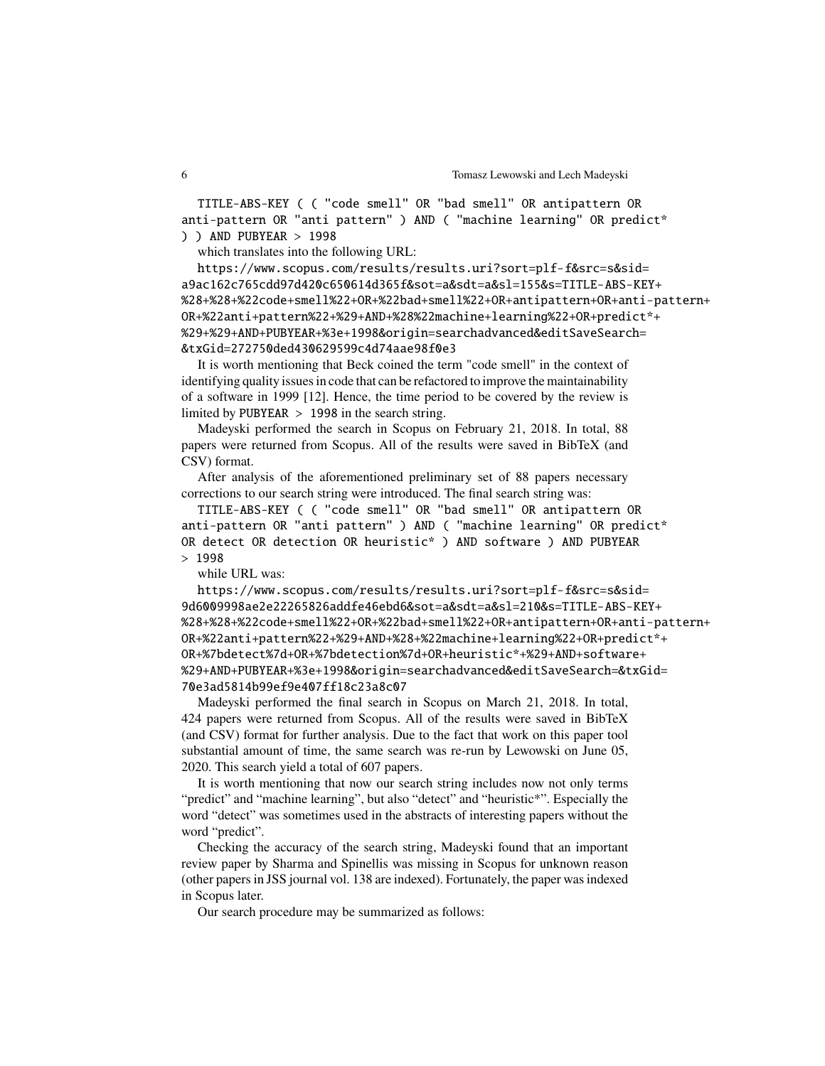TITLE-ABS-KEY ( ( "code smell" OR "bad smell" OR antipattern OR anti-pattern OR "anti pattern" ) AND ( "machine learning" OR predict\* ) ) AND PUBYEAR > 1998

which translates into the following URL:

[https://www.scopus.com/results/results.uri?sort=plf-f&src=s&si](https://www.scopus.com/results/results.uri?sort=plf-f&src=s&sid=a9ac162c765cdd97d420c650614d365f&sot=a&sdt=a&sl=155&s=TITLE-ABS-KEY+%28+%28+%22code+smell%22+OR+%22bad+smell%22+OR+antipattern+OR+anti-pattern+OR+%22anti+pattern%22+%29+AND+%28%22machine+learning%22+OR+predict*+%29+%29+AND+PUBYEAR+%3e+1998&origin=searchadvanced&editSaveSearch=&txGid=272750ded430629599c4d74aae98f0e3)d= [a9ac162c765cdd97d420c650614d365f&sot=a&sdt=a&sl=155&s=TITLE-ABS-](https://www.scopus.com/results/results.uri?sort=plf-f&src=s&sid=a9ac162c765cdd97d420c650614d365f&sot=a&sdt=a&sl=155&s=TITLE-ABS-KEY+%28+%28+%22code+smell%22+OR+%22bad+smell%22+OR+antipattern+OR+anti-pattern+OR+%22anti+pattern%22+%29+AND+%28%22machine+learning%22+OR+predict*+%29+%29+AND+PUBYEAR+%3e+1998&origin=searchadvanced&editSaveSearch=&txGid=272750ded430629599c4d74aae98f0e3)KEY+ [%28+%28+%22code+smell%22+OR+%22bad+smell%22+OR+antipattern+OR+an](https://www.scopus.com/results/results.uri?sort=plf-f&src=s&sid=a9ac162c765cdd97d420c650614d365f&sot=a&sdt=a&sl=155&s=TITLE-ABS-KEY+%28+%28+%22code+smell%22+OR+%22bad+smell%22+OR+antipattern+OR+anti-pattern+OR+%22anti+pattern%22+%29+AND+%28%22machine+learning%22+OR+predict*+%29+%29+AND+PUBYEAR+%3e+1998&origin=searchadvanced&editSaveSearch=&txGid=272750ded430629599c4d74aae98f0e3)ti-pattern+ [OR+%22anti+pattern%22+%29+AND+%28%22machine+learning%22+OR+predi](https://www.scopus.com/results/results.uri?sort=plf-f&src=s&sid=a9ac162c765cdd97d420c650614d365f&sot=a&sdt=a&sl=155&s=TITLE-ABS-KEY+%28+%28+%22code+smell%22+OR+%22bad+smell%22+OR+antipattern+OR+anti-pattern+OR+%22anti+pattern%22+%29+AND+%28%22machine+learning%22+OR+predict*+%29+%29+AND+PUBYEAR+%3e+1998&origin=searchadvanced&editSaveSearch=&txGid=272750ded430629599c4d74aae98f0e3)ct\*+ [%29+%29+AND+PUBYEAR+%3e+1998&origin=searchadvanced&editSaveSearc](https://www.scopus.com/results/results.uri?sort=plf-f&src=s&sid=a9ac162c765cdd97d420c650614d365f&sot=a&sdt=a&sl=155&s=TITLE-ABS-KEY+%28+%28+%22code+smell%22+OR+%22bad+smell%22+OR+antipattern+OR+anti-pattern+OR+%22anti+pattern%22+%29+AND+%28%22machine+learning%22+OR+predict*+%29+%29+AND+PUBYEAR+%3e+1998&origin=searchadvanced&editSaveSearch=&txGid=272750ded430629599c4d74aae98f0e3)h= [&txGid=272750ded430629599c4d74aae98f0e3](https://www.scopus.com/results/results.uri?sort=plf-f&src=s&sid=a9ac162c765cdd97d420c650614d365f&sot=a&sdt=a&sl=155&s=TITLE-ABS-KEY+%28+%28+%22code+smell%22+OR+%22bad+smell%22+OR+antipattern+OR+anti-pattern+OR+%22anti+pattern%22+%29+AND+%28%22machine+learning%22+OR+predict*+%29+%29+AND+PUBYEAR+%3e+1998&origin=searchadvanced&editSaveSearch=&txGid=272750ded430629599c4d74aae98f0e3)

It is worth mentioning that Beck coined the term "code smell" in the context of identifying quality issues in code that can be refactored to improve the maintainability of a software in 1999 [\[12\]](#page-29-1). Hence, the time period to be covered by the review is limited by PUBYEAR > 1998 in the search string.

Madeyski performed the search in Scopus on February 21, 2018. In total, 88 papers were returned from Scopus. All of the results were saved in BibTeX (and CSV) format.

After analysis of the aforementioned preliminary set of 88 papers necessary corrections to our search string were introduced. The final search string was:

TITLE-ABS-KEY ( ( "code smell" OR "bad smell" OR antipattern OR anti-pattern OR "anti pattern" ) AND ( "machine learning" OR predict\* OR detect OR detection OR heuristic\* ) AND software ) AND PUBYEAR  $> 1998$ 

while URL was:

[https://www.scopus.com/results/results.uri?sort=plf-f&src=s&si](https://www.scopus.com/results/results.uri?sort=plf-f&src=s&sid=9d6009998ae2e22265826addfe46ebd6&sot=a&sdt=a&sl=210&s=TITLE-ABS-KEY+%28+%28+%22code+smell%22+OR+%22bad+smell%22+OR+antipattern+OR+anti-pattern+OR+%22anti+pattern%22+%29+AND+%28+%22machine+learning%22+OR+predict*+OR+%7bdetect%7d+OR+%7bdetection%7d+OR+heuristic*+%29+AND+software+%29+AND+PUBYEAR+%3e+1998&origin=searchadvanced&editSaveSearch=&txGid=70e3ad5814b99ef9e407ff18c23a8c07)d= [9d6009998ae2e22265826addfe46ebd6&sot=a&sdt=a&sl=210&s=TITLE-ABS-](https://www.scopus.com/results/results.uri?sort=plf-f&src=s&sid=9d6009998ae2e22265826addfe46ebd6&sot=a&sdt=a&sl=210&s=TITLE-ABS-KEY+%28+%28+%22code+smell%22+OR+%22bad+smell%22+OR+antipattern+OR+anti-pattern+OR+%22anti+pattern%22+%29+AND+%28+%22machine+learning%22+OR+predict*+OR+%7bdetect%7d+OR+%7bdetection%7d+OR+heuristic*+%29+AND+software+%29+AND+PUBYEAR+%3e+1998&origin=searchadvanced&editSaveSearch=&txGid=70e3ad5814b99ef9e407ff18c23a8c07)KEY+ [%28+%28+%22code+smell%22+OR+%22bad+smell%22+OR+antipattern+OR+an](https://www.scopus.com/results/results.uri?sort=plf-f&src=s&sid=9d6009998ae2e22265826addfe46ebd6&sot=a&sdt=a&sl=210&s=TITLE-ABS-KEY+%28+%28+%22code+smell%22+OR+%22bad+smell%22+OR+antipattern+OR+anti-pattern+OR+%22anti+pattern%22+%29+AND+%28+%22machine+learning%22+OR+predict*+OR+%7bdetect%7d+OR+%7bdetection%7d+OR+heuristic*+%29+AND+software+%29+AND+PUBYEAR+%3e+1998&origin=searchadvanced&editSaveSearch=&txGid=70e3ad5814b99ef9e407ff18c23a8c07)ti-pattern+ [OR+%22anti+pattern%22+%29+AND+%28+%22machine+learning%22+OR+pred](https://www.scopus.com/results/results.uri?sort=plf-f&src=s&sid=9d6009998ae2e22265826addfe46ebd6&sot=a&sdt=a&sl=210&s=TITLE-ABS-KEY+%28+%28+%22code+smell%22+OR+%22bad+smell%22+OR+antipattern+OR+anti-pattern+OR+%22anti+pattern%22+%29+AND+%28+%22machine+learning%22+OR+predict*+OR+%7bdetect%7d+OR+%7bdetection%7d+OR+heuristic*+%29+AND+software+%29+AND+PUBYEAR+%3e+1998&origin=searchadvanced&editSaveSearch=&txGid=70e3ad5814b99ef9e407ff18c23a8c07)ict\*+ [OR+%7bdetect%7d+OR+%7bdetection%7d+OR+heuristic\\*+%29+AND+softwar](https://www.scopus.com/results/results.uri?sort=plf-f&src=s&sid=9d6009998ae2e22265826addfe46ebd6&sot=a&sdt=a&sl=210&s=TITLE-ABS-KEY+%28+%28+%22code+smell%22+OR+%22bad+smell%22+OR+antipattern+OR+anti-pattern+OR+%22anti+pattern%22+%29+AND+%28+%22machine+learning%22+OR+predict*+OR+%7bdetect%7d+OR+%7bdetection%7d+OR+heuristic*+%29+AND+software+%29+AND+PUBYEAR+%3e+1998&origin=searchadvanced&editSaveSearch=&txGid=70e3ad5814b99ef9e407ff18c23a8c07)e+ [%29+AND+PUBYEAR+%3e+1998&origin=searchadvanced&editSaveSearch=&t](https://www.scopus.com/results/results.uri?sort=plf-f&src=s&sid=9d6009998ae2e22265826addfe46ebd6&sot=a&sdt=a&sl=210&s=TITLE-ABS-KEY+%28+%28+%22code+smell%22+OR+%22bad+smell%22+OR+antipattern+OR+anti-pattern+OR+%22anti+pattern%22+%29+AND+%28+%22machine+learning%22+OR+predict*+OR+%7bdetect%7d+OR+%7bdetection%7d+OR+heuristic*+%29+AND+software+%29+AND+PUBYEAR+%3e+1998&origin=searchadvanced&editSaveSearch=&txGid=70e3ad5814b99ef9e407ff18c23a8c07)xGid= [70e3ad5814b99ef9e407ff18c23a8c07](https://www.scopus.com/results/results.uri?sort=plf-f&src=s&sid=9d6009998ae2e22265826addfe46ebd6&sot=a&sdt=a&sl=210&s=TITLE-ABS-KEY+%28+%28+%22code+smell%22+OR+%22bad+smell%22+OR+antipattern+OR+anti-pattern+OR+%22anti+pattern%22+%29+AND+%28+%22machine+learning%22+OR+predict*+OR+%7bdetect%7d+OR+%7bdetection%7d+OR+heuristic*+%29+AND+software+%29+AND+PUBYEAR+%3e+1998&origin=searchadvanced&editSaveSearch=&txGid=70e3ad5814b99ef9e407ff18c23a8c07)

Madeyski performed the final search in Scopus on March 21, 2018. In total, 424 papers were returned from Scopus. All of the results were saved in BibTeX (and CSV) format for further analysis. Due to the fact that work on this paper tool substantial amount of time, the same search was re-run by Lewowski on June 05, 2020. This search yield a total of 607 papers.

It is worth mentioning that now our search string includes now not only terms "predict" and "machine learning", but also "detect" and "heuristic\*". Especially the word "detect" was sometimes used in the abstracts of interesting papers without the word "predict".

Checking the accuracy of the search string, Madeyski found that an important review paper by Sharma and Spinellis was missing in Scopus for unknown reason (other papers in JSS journal vol. 138 are indexed). Fortunately, the paper was indexed in Scopus later.

Our search procedure may be summarized as follows: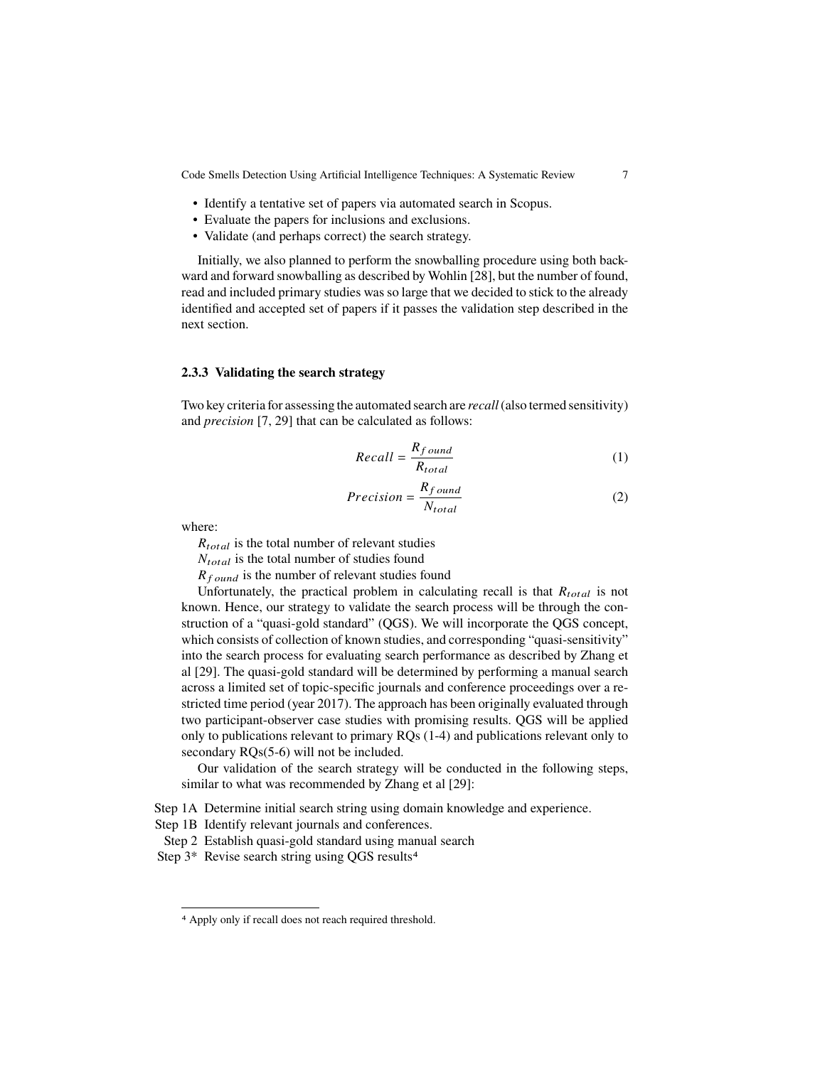- Identify a tentative set of papers via automated search in Scopus.
- Evaluate the papers for inclusions and exclusions.
- Validate (and perhaps correct) the search strategy.

Initially, we also planned to perform the snowballing procedure using both backward and forward snowballing as described by Wohlin [\[28\]](#page-30-5), but the number of found, read and included primary studies was so large that we decided to stick to the already identified and accepted set of papers if it passes the validation step described in the next section.

#### **2.3.3 Validating the search strategy**

Two key criteria for assessing the automated search are *recall*(also termed sensitivity) and *precision* [\[7,](#page-29-3) [29\]](#page-30-4) that can be calculated as follows:

$$
Recall = \frac{R_{found}}{R_{total}}
$$
 (1)

<span id="page-6-1"></span>
$$
Precision = \frac{R_{found}}{N_{total}}
$$
 (2)

where:

 $R_{total}$  is the total number of relevant studies

 $N_{total}$  is the total number of studies found

 $R_{found}$  is the number of relevant studies found

Unfortunately, the practical problem in calculating recall is that  $R_{total}$  is not known. Hence, our strategy to validate the search process will be through the construction of a "quasi-gold standard" (QGS). We will incorporate the QGS concept, which consists of collection of known studies, and corresponding "quasi-sensitivity" into the search process for evaluating search performance as described by Zhang et al [\[29\]](#page-30-4). The quasi-gold standard will be determined by performing a manual search across a limited set of topic-specific journals and conference proceedings over a restricted time period (year 2017). The approach has been originally evaluated through two participant-observer case studies with promising results. QGS will be applied only to publications relevant to primary RQs (1-4) and publications relevant only to secondary  $RQs(5-6)$  will not be included.

Our validation of the search strategy will be conducted in the following steps, similar to what was recommended by Zhang et al [\[29\]](#page-30-4):

Step 1A Determine initial search string using domain knowledge and experience.

Step 1B Identify relevant journals and conferences.

Step 2 Establish quasi-gold standard using manual search

Step 3\* Revise search string using QGS results[4](#page-6-0)

<span id="page-6-0"></span><sup>4</sup> Apply only if recall does not reach required threshold.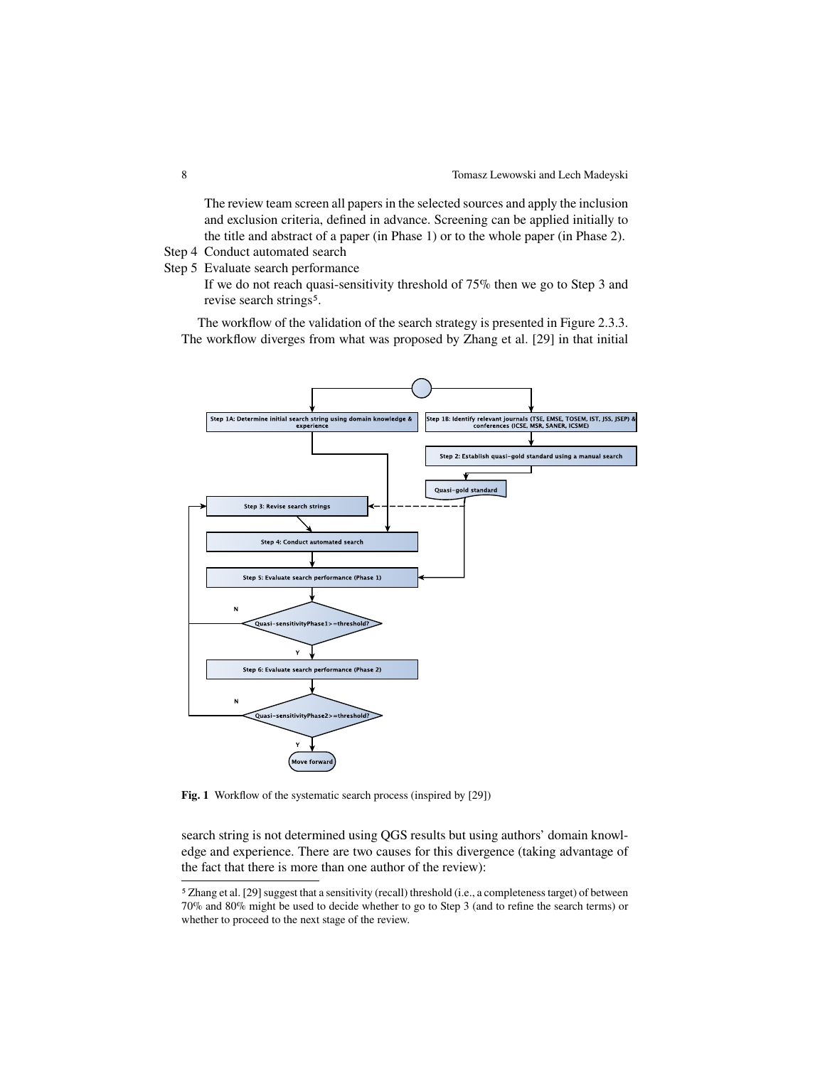The review team screen all papers in the selected sources and apply the inclusion and exclusion criteria, defined in advance. Screening can be applied initially to the title and abstract of a paper (in Phase 1) or to the whole paper (in Phase 2).

Step 4 Conduct automated search

Step 5 Evaluate search performance

If we do not reach quasi-sensitivity threshold of 75% then we go to Step 3 and revise search strings<sup>[5](#page-7-0)</sup>.

The workflow of the validation of the search strategy is presented in Figure [2.3.3.](#page-6-1) The workflow diverges from what was proposed by Zhang et al. [\[29\]](#page-30-4) in that initial



Fig. 1 Workflow of the systematic search process (inspired by [\[29\]](#page-30-4))

search string is not determined using QGS results but using authors' domain knowledge and experience. There are two causes for this divergence (taking advantage of the fact that there is more than one author of the review):

<span id="page-7-0"></span><sup>&</sup>lt;sup>5</sup> Zhang et al. [\[29\]](#page-30-4) suggest that a sensitivity (recall) threshold (i.e., a completeness target) of between 70% and 80% might be used to decide whether to go to Step 3 (and to refine the search terms) or whether to proceed to the next stage of the review.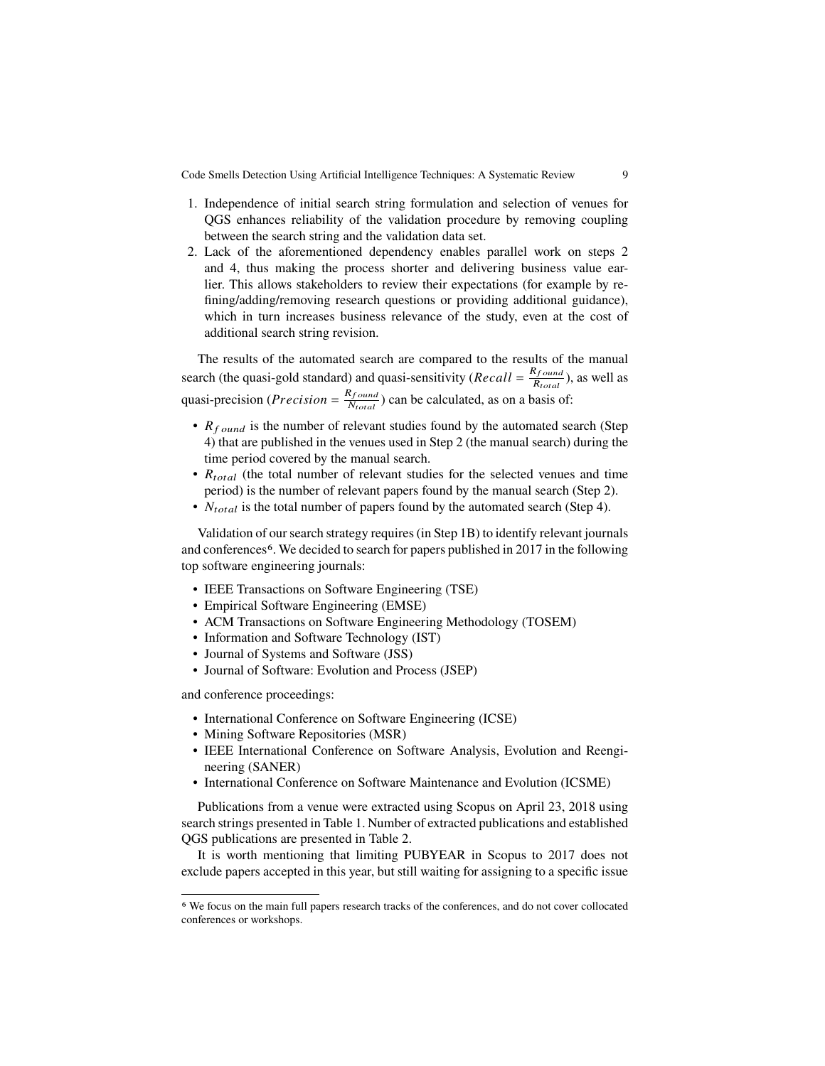- 1. Independence of initial search string formulation and selection of venues for QGS enhances reliability of the validation procedure by removing coupling between the search string and the validation data set.
- 2. Lack of the aforementioned dependency enables parallel work on steps 2 and 4, thus making the process shorter and delivering business value earlier. This allows stakeholders to review their expectations (for example by refining/adding/removing research questions or providing additional guidance), which in turn increases business relevance of the study, even at the cost of additional search string revision.

The results of the automated search are compared to the results of the manual search (the quasi-gold standard) and quasi-sensitivity ( $Recall = \frac{R_{found}}{R_{total}}$  $\frac{Vf\,ound}{R_{total}}$ ), as well as quasi-precision (*Precision* =  $\frac{R_{found}}{N_{total}}$  $\frac{V_{found}}{N_{total}}$ ) can be calculated, as on a basis of:

- $R_{found}$  is the number of relevant studies found by the automated search (Step 4) that are published in the venues used in Step 2 (the manual search) during the time period covered by the manual search.
- $R_{total}$  (the total number of relevant studies for the selected venues and time period) is the number of relevant papers found by the manual search (Step 2).
- $N_{total}$  is the total number of papers found by the automated search (Step 4).

Validation of our search strategy requires (in Step 1B) to identify relevant journals and conferences<sup>[6](#page-8-0)</sup>. We decided to search for papers published in 2017 in the following top software engineering journals:

- IEEE Transactions on Software Engineering (TSE)
- Empirical Software Engineering (EMSE)
- ACM Transactions on Software Engineering Methodology (TOSEM)
- Information and Software Technology (IST)
- Journal of Systems and Software (JSS)
- Journal of Software: Evolution and Process (JSEP)

and conference proceedings:

- International Conference on Software Engineering (ICSE)
- Mining Software Repositories (MSR)
- IEEE International Conference on Software Analysis, Evolution and Reengineering (SANER)
- International Conference on Software Maintenance and Evolution (ICSME)

Publications from a venue were extracted using Scopus on April 23, 2018 using search strings presented in Table [1.](#page-9-0) Number of extracted publications and established QGS publications are presented in Table [2.](#page-9-1)

It is worth mentioning that limiting PUBYEAR in Scopus to 2017 does not exclude papers accepted in this year, but still waiting for assigning to a specific issue

<span id="page-8-0"></span><sup>6</sup> We focus on the main full papers research tracks of the conferences, and do not cover collocated conferences or workshops.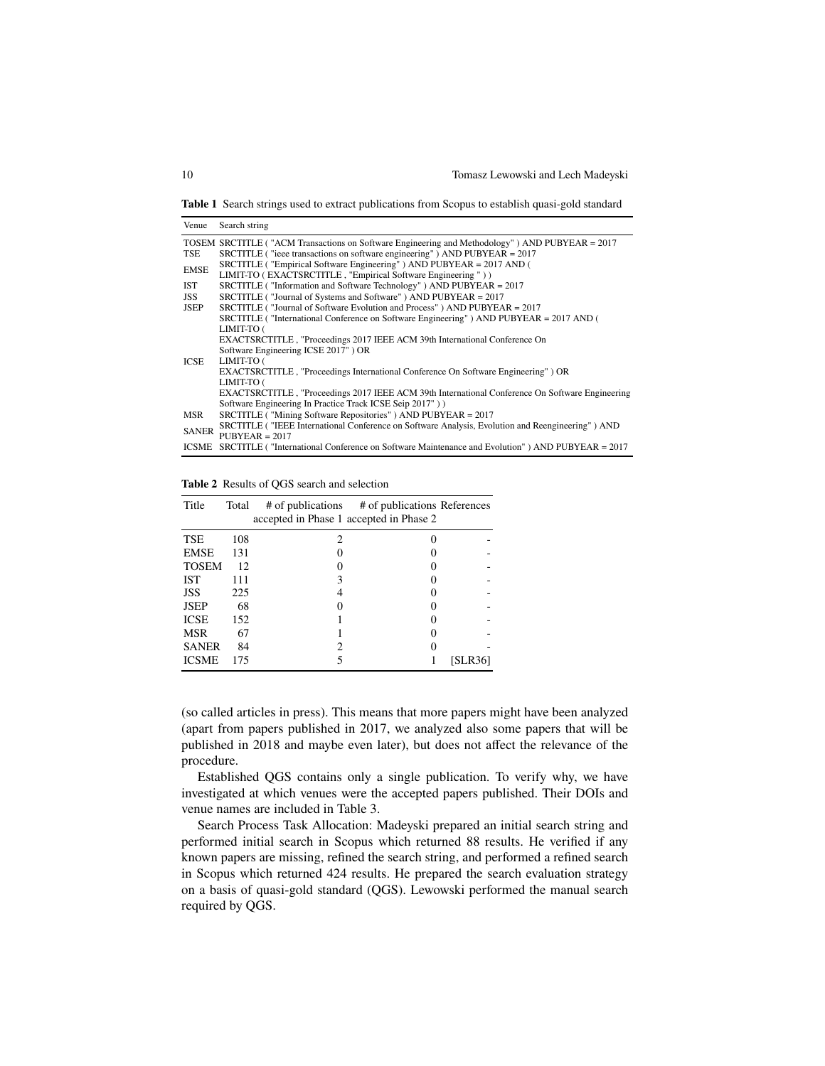<span id="page-9-0"></span>**Table 1** Search strings used to extract publications from Scopus to establish quasi-gold standard

| Venue        | Search string                                                                                                           |
|--------------|-------------------------------------------------------------------------------------------------------------------------|
|              | TOSEM SRCTITLE ("ACM Transactions on Software Engineering and Methodology") AND PUBYEAR = 2017                          |
| TSE          | SRCTITLE ("ieee transactions on software engineering") AND PUBYEAR = $2017$                                             |
| <b>EMSE</b>  | SRCTITLE ("Empirical Software Engineering") AND PUBYEAR = 2017 AND (                                                    |
|              | LIMIT-TO (EXACTSRCTITLE, "Empirical Software Engineering"))                                                             |
| IST          | SRCTITLE ("Information and Software Technology") AND PUBYEAR = 2017                                                     |
| <b>JSS</b>   | SRCTITLE ("Journal of Systems and Software") AND PUBYEAR = 2017                                                         |
| JSEP         | SRCTITLE ("Journal of Software Evolution and Process") AND PUBYEAR = 2017                                               |
|              | SRCTITLE ("International Conference on Software Engineering") AND PUBYEAR = 2017 AND (                                  |
|              | LIMIT-TO (                                                                                                              |
|              | EXACTSRCTITLE, "Proceedings 2017 IEEE ACM 39th International Conference On                                              |
|              | Software Engineering ICSE 2017") OR                                                                                     |
| ICSE         | LIMIT-TO (                                                                                                              |
|              | EXACTSRCTITLE, "Proceedings International Conference On Software Engineering" ) OR                                      |
|              | LIMIT-TO (                                                                                                              |
|              | EXACTSRCTITLE, "Proceedings 2017 IEEE ACM 39th International Conference On Software Engineering                         |
| MSR          | Software Engineering In Practice Track ICSE Seip 2017")<br>SRCTITLE ("Mining Software Repositories") AND PUBYEAR = 2017 |
|              | SRCTITLE ("IEEE International Conference on Software Analysis, Evolution and Reengineering") AND                        |
| <b>SANER</b> | $PIIBYEAR = 2017$                                                                                                       |
|              | ICSME SRCTITLE ("International Conference on Software Maintenance and Evolution") AND PUBYEAR = 2017                    |
|              |                                                                                                                         |

<span id="page-9-1"></span>**Table 2** Results of QGS search and selection

| Title        | Total | # of publications<br>accepted in Phase 1 accepted in Phase 2 | # of publications References |                |
|--------------|-------|--------------------------------------------------------------|------------------------------|----------------|
| <b>TSE</b>   | 108   | 2                                                            |                              |                |
| <b>EMSE</b>  | 131   |                                                              |                              |                |
| <b>TOSEM</b> | 12    |                                                              |                              |                |
| <b>IST</b>   | 111   | 3                                                            |                              |                |
| JSS.         | 225   |                                                              |                              |                |
| <b>JSEP</b>  | 68    |                                                              |                              |                |
| <b>ICSE</b>  | 152   |                                                              |                              |                |
| <b>MSR</b>   | 67    |                                                              |                              |                |
| <b>SANER</b> | 84    |                                                              |                              |                |
| <b>ICSME</b> | 175   |                                                              |                              | <b>ISLR361</b> |

(so called articles in press). This means that more papers might have been analyzed (apart from papers published in 2017, we analyzed also some papers that will be published in 2018 and maybe even later), but does not affect the relevance of the procedure.

Established QGS contains only a single publication. To verify why, we have investigated at which venues were the accepted papers published. Their DOIs and venue names are included in Table [3.](#page-10-0)

Search Process Task Allocation: Madeyski prepared an initial search string and performed initial search in Scopus which returned 88 results. He verified if any known papers are missing, refined the search string, and performed a refined search in Scopus which returned 424 results. He prepared the search evaluation strategy on a basis of quasi-gold standard (QGS). Lewowski performed the manual search required by QGS.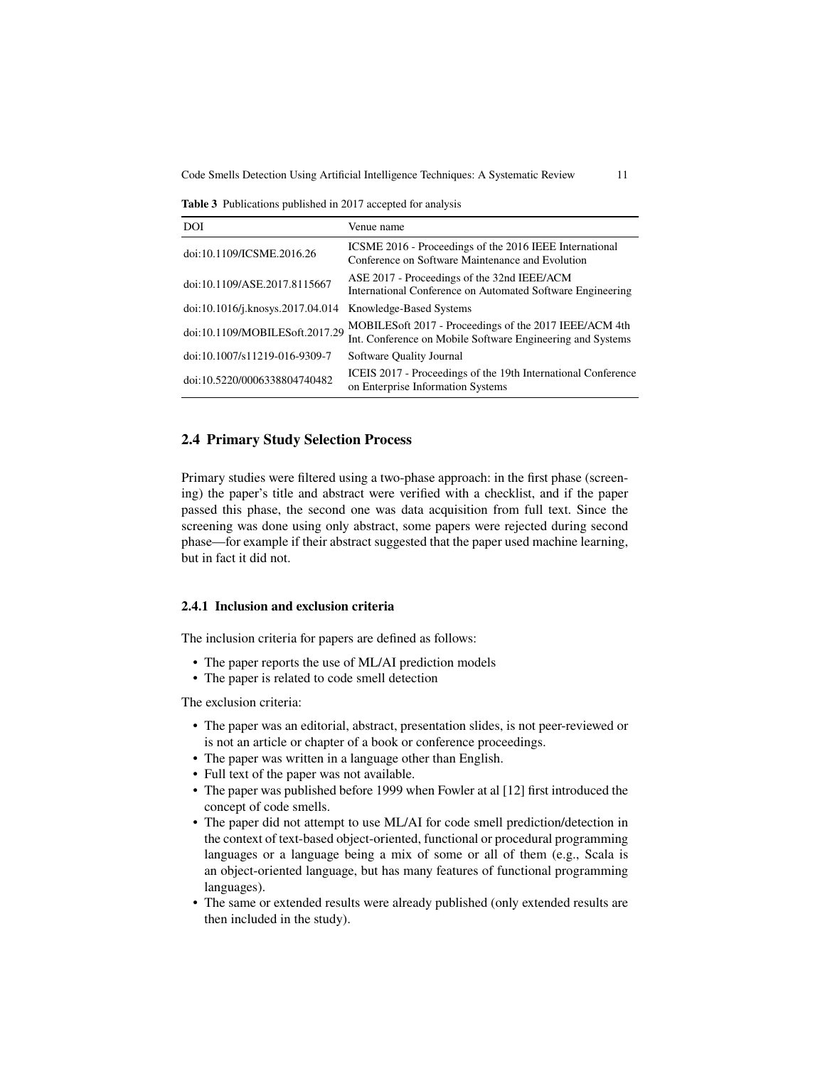<span id="page-10-0"></span>**Table 3** Publications published in 2017 accepted for analysis

| DOI                                                      | Venue name                                                                                                            |
|----------------------------------------------------------|-----------------------------------------------------------------------------------------------------------------------|
| doi:10.1109/ICSME.2016.26                                | ICSME 2016 - Proceedings of the 2016 IEEE International<br>Conference on Software Maintenance and Evolution           |
| doi:10.1109/ASE.2017.8115667                             | ASE 2017 - Proceedings of the 32nd IEEE/ACM<br>International Conference on Automated Software Engineering             |
| doi:10.1016/j.knosys.2017.04.014 Knowledge-Based Systems |                                                                                                                       |
| doi:10.1109/MOBILESoft.2017.29                           | MOBILES oft 2017 - Proceedings of the 2017 IEEE/ACM 4th<br>Int. Conference on Mobile Software Engineering and Systems |
| doi:10.1007/s11219-016-9309-7                            | Software Quality Journal                                                                                              |
| doi:10.5220/0006338804740482                             | ICEIS 2017 - Proceedings of the 19th International Conference<br>on Enterprise Information Systems                    |

# **2.4 Primary Study Selection Process**

Primary studies were filtered using a two-phase approach: in the first phase (screening) the paper's title and abstract were verified with a checklist, and if the paper passed this phase, the second one was data acquisition from full text. Since the screening was done using only abstract, some papers were rejected during second phase—for example if their abstract suggested that the paper used machine learning, but in fact it did not.

# **2.4.1 Inclusion and exclusion criteria**

The inclusion criteria for papers are defined as follows:

- The paper reports the use of ML/AI prediction models
- The paper is related to code smell detection

The exclusion criteria:

- The paper was an editorial, abstract, presentation slides, is not peer-reviewed or is not an article or chapter of a book or conference proceedings.
- The paper was written in a language other than English.
- Full text of the paper was not available.
- The paper was published before 1999 when Fowler at al [\[12\]](#page-29-1) first introduced the concept of code smells.
- The paper did not attempt to use ML/AI for code smell prediction/detection in the context of text-based object-oriented, functional or procedural programming languages or a language being a mix of some or all of them (e.g., Scala is an object-oriented language, but has many features of functional programming languages).
- The same or extended results were already published (only extended results are then included in the study).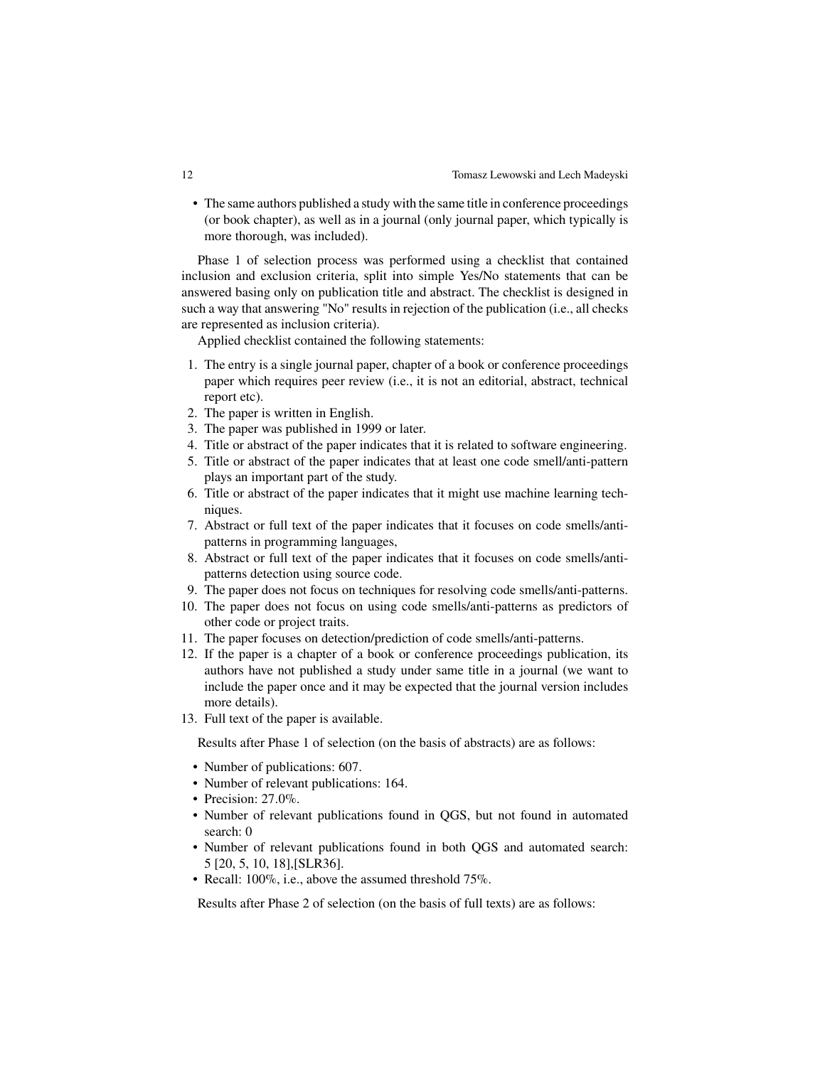• The same authors published a study with the same title in conference proceedings (or book chapter), as well as in a journal (only journal paper, which typically is more thorough, was included).

Phase 1 of selection process was performed using a checklist that contained inclusion and exclusion criteria, split into simple Yes/No statements that can be answered basing only on publication title and abstract. The checklist is designed in such a way that answering "No" results in rejection of the publication (i.e., all checks are represented as inclusion criteria).

Applied checklist contained the following statements:

- 1. The entry is a single journal paper, chapter of a book or conference proceedings paper which requires peer review (i.e., it is not an editorial, abstract, technical report etc).
- 2. The paper is written in English.
- 3. The paper was published in 1999 or later.
- 4. Title or abstract of the paper indicates that it is related to software engineering.
- 5. Title or abstract of the paper indicates that at least one code smell/anti-pattern plays an important part of the study.
- 6. Title or abstract of the paper indicates that it might use machine learning techniques.
- 7. Abstract or full text of the paper indicates that it focuses on code smells/antipatterns in programming languages,
- 8. Abstract or full text of the paper indicates that it focuses on code smells/antipatterns detection using source code.
- 9. The paper does not focus on techniques for resolving code smells/anti-patterns.
- 10. The paper does not focus on using code smells/anti-patterns as predictors of other code or project traits.
- 11. The paper focuses on detection/prediction of code smells/anti-patterns.
- 12. If the paper is a chapter of a book or conference proceedings publication, its authors have not published a study under same title in a journal (we want to include the paper once and it may be expected that the journal version includes more details).
- 13. Full text of the paper is available.

Results after Phase 1 of selection (on the basis of abstracts) are as follows:

- Number of publications: 607.
- Number of relevant publications: 164.
- Precision: 27.0%.
- Number of relevant publications found in QGS, but not found in automated search: 0
- Number of relevant publications found in both QGS and automated search: 5 [\[20,](#page-30-6) [5,](#page-29-4) [10,](#page-29-5) [18\]](#page-29-6),[\[SLR36\]](#page-34-0).
- Recall: 100%, i.e., above the assumed threshold 75%.

Results after Phase 2 of selection (on the basis of full texts) are as follows: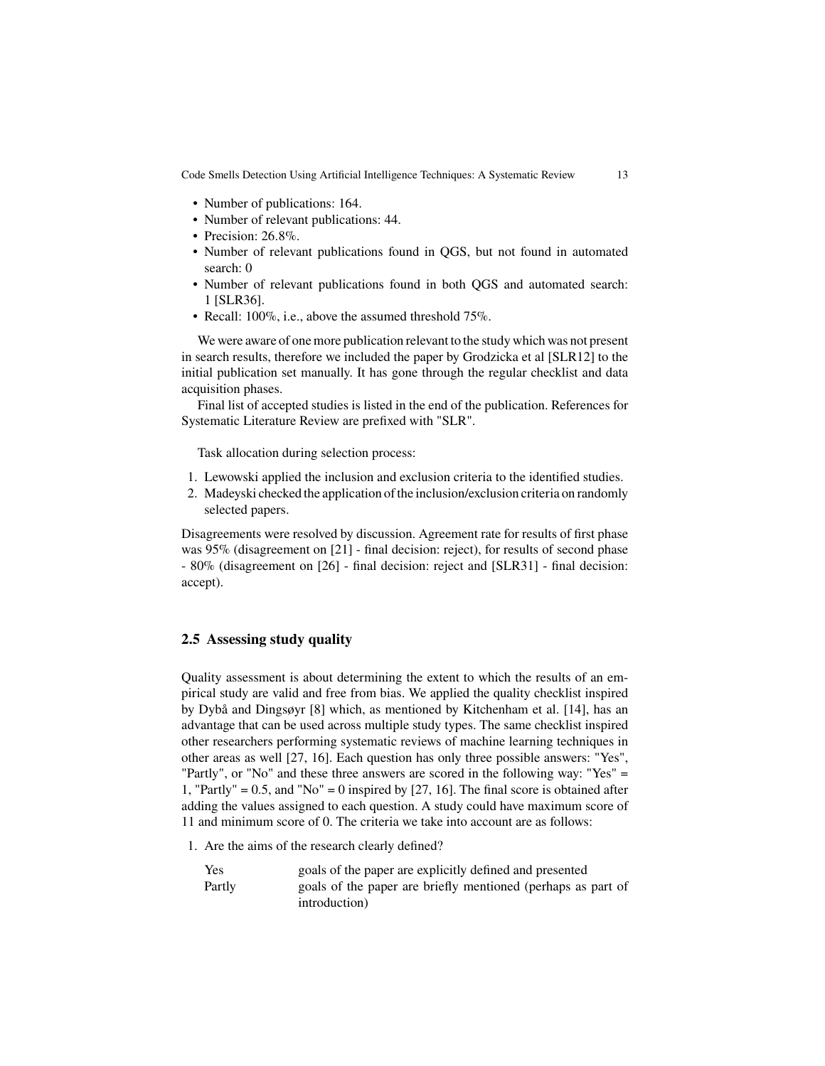- Number of publications: 164.
- Number of relevant publications: 44.
- Precision: 26.8%.
- Number of relevant publications found in QGS, but not found in automated search: 0
- Number of relevant publications found in both QGS and automated search: 1 [\[SLR36\]](#page-34-0).
- Recall: 100%, i.e., above the assumed threshold 75%.

We were aware of one more publication relevant to the study which was not present in search results, therefore we included the paper by Grodzicka et al [\[SLR12\]](#page-32-0) to the initial publication set manually. It has gone through the regular checklist and data acquisition phases.

Final list of accepted studies is listed in the end of the publication. References for Systematic Literature Review are prefixed with "SLR".

Task allocation during selection process:

- 1. Lewowski applied the inclusion and exclusion criteria to the identified studies.
- 2. Madeyski checked the application of the inclusion/exclusion criteria on randomly selected papers.

Disagreements were resolved by discussion. Agreement rate for results of first phase was 95% (disagreement on [\[21\]](#page-30-7) - final decision: reject), for results of second phase - 80% (disagreement on [\[26\]](#page-30-8) - final decision: reject and [\[SLR31\]](#page-33-0) - final decision: accept).

#### **2.5 Assessing study quality**

Quality assessment is about determining the extent to which the results of an empirical study are valid and free from bias. We applied the quality checklist inspired by Dybå and Dingsøyr [\[8\]](#page-29-7) which, as mentioned by Kitchenham et al. [\[14\]](#page-29-2), has an advantage that can be used across multiple study types. The same checklist inspired other researchers performing systematic reviews of machine learning techniques in other areas as well [\[27,](#page-30-9) [16\]](#page-29-8). Each question has only three possible answers: "Yes", "Partly", or "No" and these three answers are scored in the following way: "Yes" = 1, "Partly" = 0.5, and "No" = 0 inspired by [\[27,](#page-30-9) [16\]](#page-29-8). The final score is obtained after adding the values assigned to each question. A study could have maximum score of 11 and minimum score of 0. The criteria we take into account are as follows:

1. Are the aims of the research clearly defined?

| <b>Yes</b> | goals of the paper are explicitly defined and presented      |
|------------|--------------------------------------------------------------|
| Partly     | goals of the paper are briefly mentioned (perhaps as part of |
|            | introduction)                                                |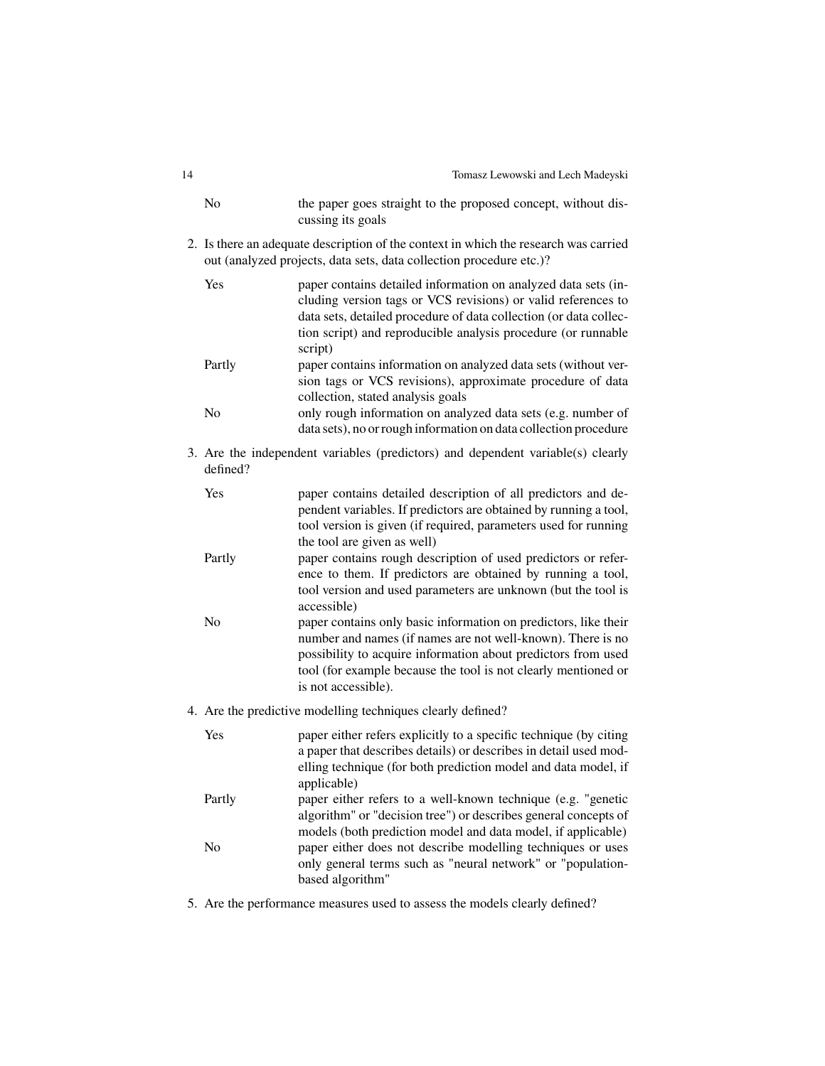| 14                                                                                                                                                          |                | Tomasz Lewowski and Lech Madeyski                                                                                                                                                                                                                                                        |  |
|-------------------------------------------------------------------------------------------------------------------------------------------------------------|----------------|------------------------------------------------------------------------------------------------------------------------------------------------------------------------------------------------------------------------------------------------------------------------------------------|--|
|                                                                                                                                                             | N <sub>o</sub> | the paper goes straight to the proposed concept, without dis-<br>cussing its goals                                                                                                                                                                                                       |  |
| 2. Is there an adequate description of the context in which the research was carried<br>out (analyzed projects, data sets, data collection procedure etc.)? |                |                                                                                                                                                                                                                                                                                          |  |
|                                                                                                                                                             | Yes            | paper contains detailed information on analyzed data sets (in-<br>cluding version tags or VCS revisions) or valid references to<br>data sets, detailed procedure of data collection (or data collec-<br>tion script) and reproducible analysis procedure (or runnable<br>script)         |  |
|                                                                                                                                                             | Partly         | paper contains information on analyzed data sets (without ver-<br>sion tags or VCS revisions), approximate procedure of data<br>collection, stated analysis goals                                                                                                                        |  |
|                                                                                                                                                             | N <sub>o</sub> | only rough information on analyzed data sets (e.g. number of<br>data sets), no or rough information on data collection procedure                                                                                                                                                         |  |
| 3. Are the independent variables (predictors) and dependent variable(s) clearly<br>defined?                                                                 |                |                                                                                                                                                                                                                                                                                          |  |
|                                                                                                                                                             | Yes            | paper contains detailed description of all predictors and de-<br>pendent variables. If predictors are obtained by running a tool,<br>tool version is given (if required, parameters used for running<br>the tool are given as well)                                                      |  |
|                                                                                                                                                             | Partly         | paper contains rough description of used predictors or refer-<br>ence to them. If predictors are obtained by running a tool,<br>tool version and used parameters are unknown (but the tool is<br>accessible)                                                                             |  |
|                                                                                                                                                             | N <sub>o</sub> | paper contains only basic information on predictors, like their<br>number and names (if names are not well-known). There is no<br>possibility to acquire information about predictors from used<br>tool (for example because the tool is not clearly mentioned or<br>is not accessible). |  |
|                                                                                                                                                             |                | 4. Are the predictive modelling techniques clearly defined?                                                                                                                                                                                                                              |  |
|                                                                                                                                                             | Yes            | paper either refers explicitly to a specific technique (by citing<br>a paper that describes details) or describes in detail used mod-<br>elling technique (for both prediction model and data model, if<br>applicable)                                                                   |  |
|                                                                                                                                                             | Partly         | paper either refers to a well-known technique (e.g. "genetic<br>algorithm" or "decision tree") or describes general concepts of<br>models (both prediction model and data model, if applicable)                                                                                          |  |
|                                                                                                                                                             | No             | paper either does not describe modelling techniques or uses<br>only general terms such as "neural network" or "population-<br>based algorithm"                                                                                                                                           |  |

5. Are the performance measures used to assess the models clearly defined?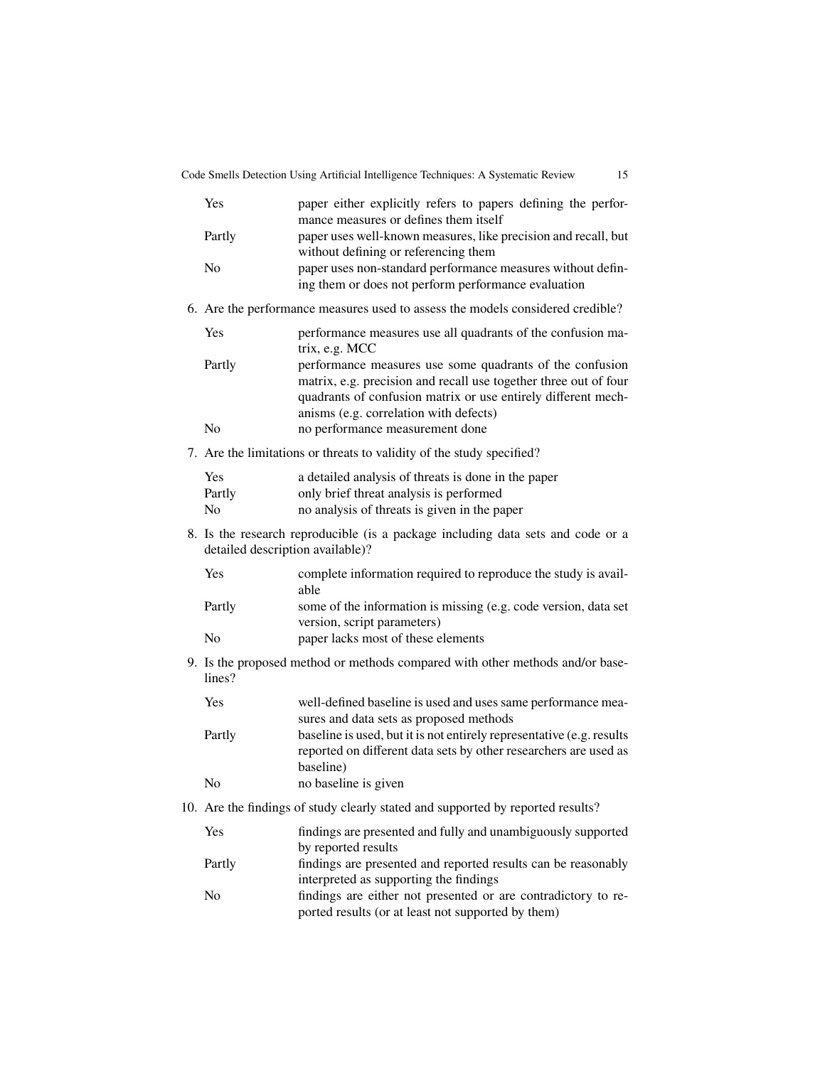|                                                                                                                     | Yes                             | paper either explicitly refers to papers defining the perfor-<br>mance measures or defines them itself                                                                                                                                                                     |  |
|---------------------------------------------------------------------------------------------------------------------|---------------------------------|----------------------------------------------------------------------------------------------------------------------------------------------------------------------------------------------------------------------------------------------------------------------------|--|
|                                                                                                                     | Partly                          | paper uses well-known measures, like precision and recall, but<br>without defining or referencing them                                                                                                                                                                     |  |
|                                                                                                                     | N <sub>o</sub>                  | paper uses non-standard performance measures without defin-<br>ing them or does not perform performance evaluation                                                                                                                                                         |  |
|                                                                                                                     |                                 | 6. Are the performance measures used to assess the models considered credible?                                                                                                                                                                                             |  |
|                                                                                                                     | Yes                             | performance measures use all quadrants of the confusion ma-<br>trix, e.g. MCC                                                                                                                                                                                              |  |
|                                                                                                                     | Partly<br>N <sub>0</sub>        | performance measures use some quadrants of the confusion<br>matrix, e.g. precision and recall use together three out of four<br>quadrants of confusion matrix or use entirely different mech-<br>anisms (e.g. correlation with defects)<br>no performance measurement done |  |
|                                                                                                                     |                                 | 7. Are the limitations or threats to validity of the study specified?                                                                                                                                                                                                      |  |
|                                                                                                                     | Yes<br>Partly<br>N <sub>0</sub> | a detailed analysis of threats is done in the paper<br>only brief threat analysis is performed<br>no analysis of threats is given in the paper                                                                                                                             |  |
| 8. Is the research reproducible (is a package including data sets and code or a<br>detailed description available)? |                                 |                                                                                                                                                                                                                                                                            |  |
|                                                                                                                     | Yes                             | complete information required to reproduce the study is avail-<br>able                                                                                                                                                                                                     |  |
|                                                                                                                     | Partly                          | some of the information is missing (e.g. code version, data set<br>version, script parameters)                                                                                                                                                                             |  |
|                                                                                                                     | N <sub>0</sub>                  | paper lacks most of these elements                                                                                                                                                                                                                                         |  |
| 9. Is the proposed method or methods compared with other methods and/or base-<br>lines?                             |                                 |                                                                                                                                                                                                                                                                            |  |
|                                                                                                                     | Yes                             | well-defined baseline is used and uses same performance mea-<br>sures and data sets as proposed methods                                                                                                                                                                    |  |
|                                                                                                                     | Partly                          | baseline is used, but it is not entirely representative (e.g. results<br>reported on different data sets by other researchers are used as<br>baseline)                                                                                                                     |  |
|                                                                                                                     | No                              | no baseline is given                                                                                                                                                                                                                                                       |  |
|                                                                                                                     |                                 | 10. Are the findings of study clearly stated and supported by reported results?                                                                                                                                                                                            |  |
|                                                                                                                     | Yes                             | findings are presented and fully and unambiguously supported<br>by reported results                                                                                                                                                                                        |  |
|                                                                                                                     | Partly                          | findings are presented and reported results can be reasonably<br>interpreted as supporting the findings                                                                                                                                                                    |  |
|                                                                                                                     | No                              | findings are either not presented or are contradictory to re-                                                                                                                                                                                                              |  |

ported results (or at least not supported by them)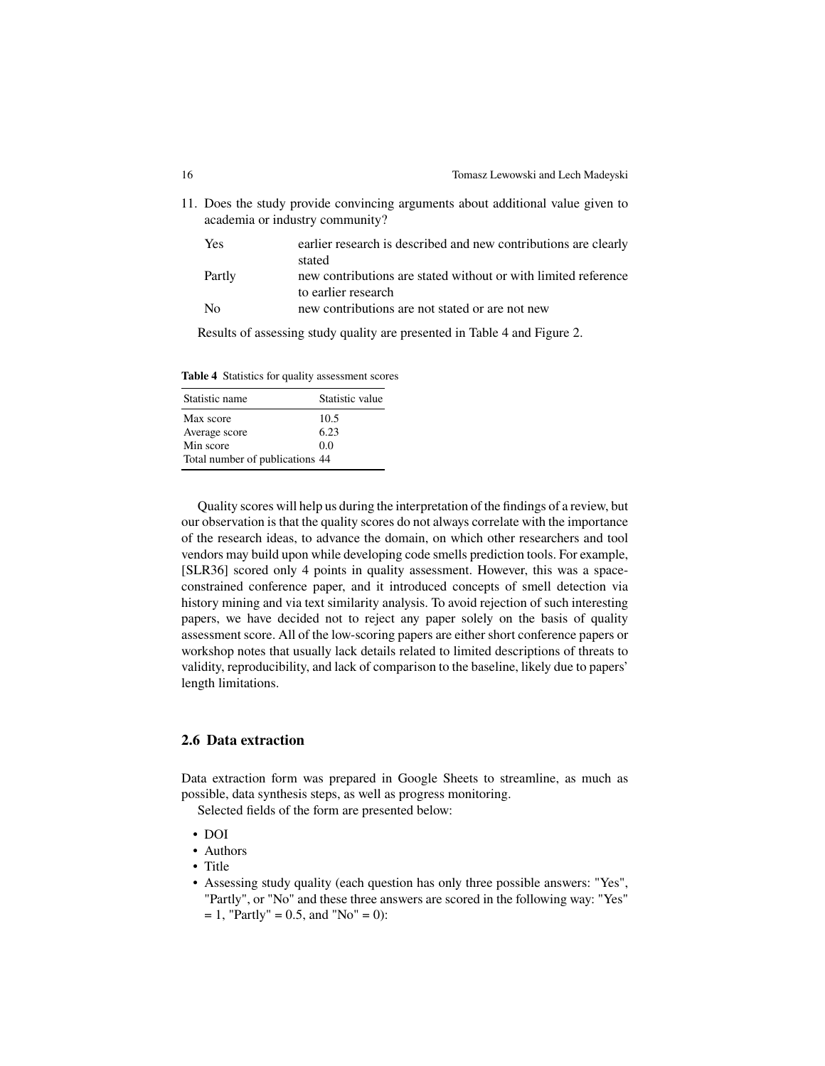11. Does the study provide convincing arguments about additional value given to academia or industry community?

| <b>Yes</b> | earlier research is described and new contributions are clearly |
|------------|-----------------------------------------------------------------|
|            | stated                                                          |
| Partly     | new contributions are stated without or with limited reference  |
|            | to earlier research                                             |
| - No       | new contributions are not stated or are not new                 |

Results of assessing study quality are presented in Table [4](#page-15-0) and Figure [2.](#page-16-0)

<span id="page-15-0"></span>**Table 4** Statistics for quality assessment scores

| Statistic name                  | Statistic value |
|---------------------------------|-----------------|
| Max score                       | 10.5            |
| Average score                   | 6.23            |
| Min score                       | 0.0             |
| Total number of publications 44 |                 |

Quality scores will help us during the interpretation of the findings of a review, but our observation is that the quality scores do not always correlate with the importance of the research ideas, to advance the domain, on which other researchers and tool vendors may build upon while developing code smells prediction tools. For example, [\[SLR36\]](#page-34-0) scored only 4 points in quality assessment. However, this was a spaceconstrained conference paper, and it introduced concepts of smell detection via history mining and via text similarity analysis. To avoid rejection of such interesting papers, we have decided not to reject any paper solely on the basis of quality assessment score. All of the low-scoring papers are either short conference papers or workshop notes that usually lack details related to limited descriptions of threats to validity, reproducibility, and lack of comparison to the baseline, likely due to papers' length limitations.

# **2.6 Data extraction**

Data extraction form was prepared in Google Sheets to streamline, as much as possible, data synthesis steps, as well as progress monitoring.

Selected fields of the form are presented below:

- DOI
- Authors
- Title
- Assessing study quality (each question has only three possible answers: "Yes", "Partly", or "No" and these three answers are scored in the following way: "Yes"  $= 1$ , "Partly" = 0.5, and "No" = 0):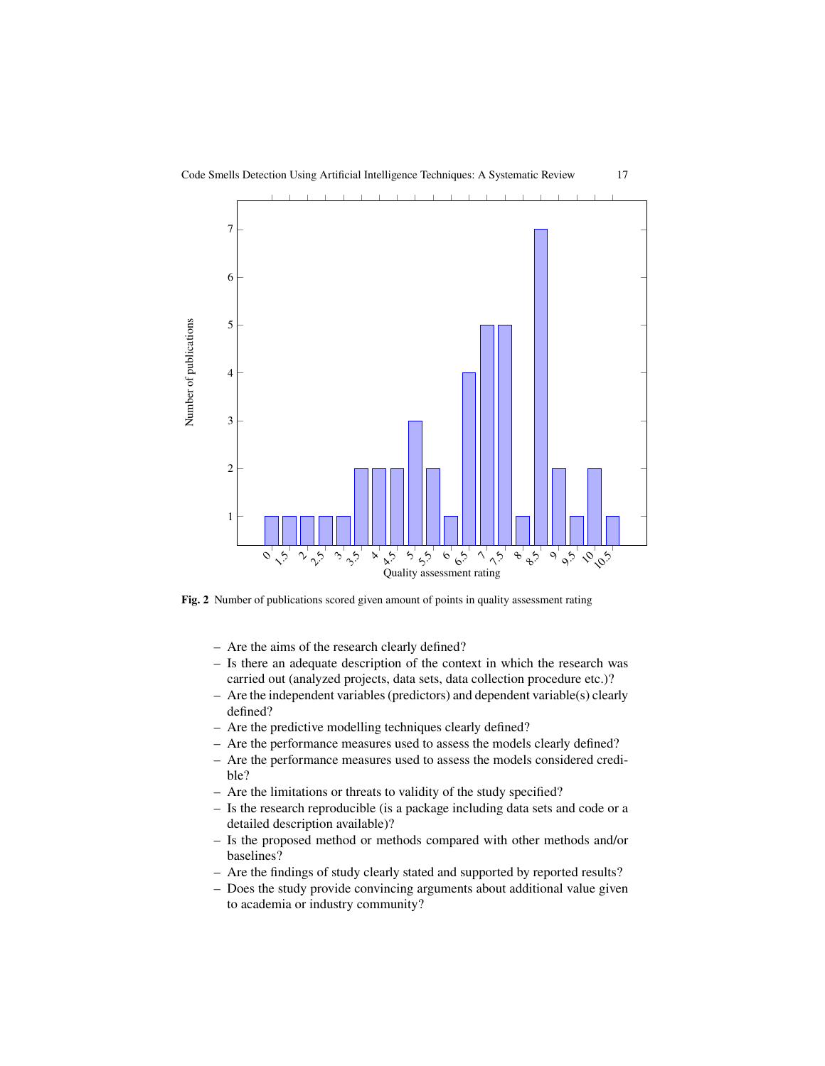

<span id="page-16-0"></span>**Fig. 2** Number of publications scored given amount of points in quality assessment rating

- Are the aims of the research clearly defined?
- Is there an adequate description of the context in which the research was carried out (analyzed projects, data sets, data collection procedure etc.)?
- Are the independent variables (predictors) and dependent variable(s) clearly defined?
- Are the predictive modelling techniques clearly defined?
- Are the performance measures used to assess the models clearly defined?
- Are the performance measures used to assess the models considered credible?
- Are the limitations or threats to validity of the study specified?
- Is the research reproducible (is a package including data sets and code or a detailed description available)?
- Is the proposed method or methods compared with other methods and/or baselines?
- Are the findings of study clearly stated and supported by reported results?
- Does the study provide convincing arguments about additional value given to academia or industry community?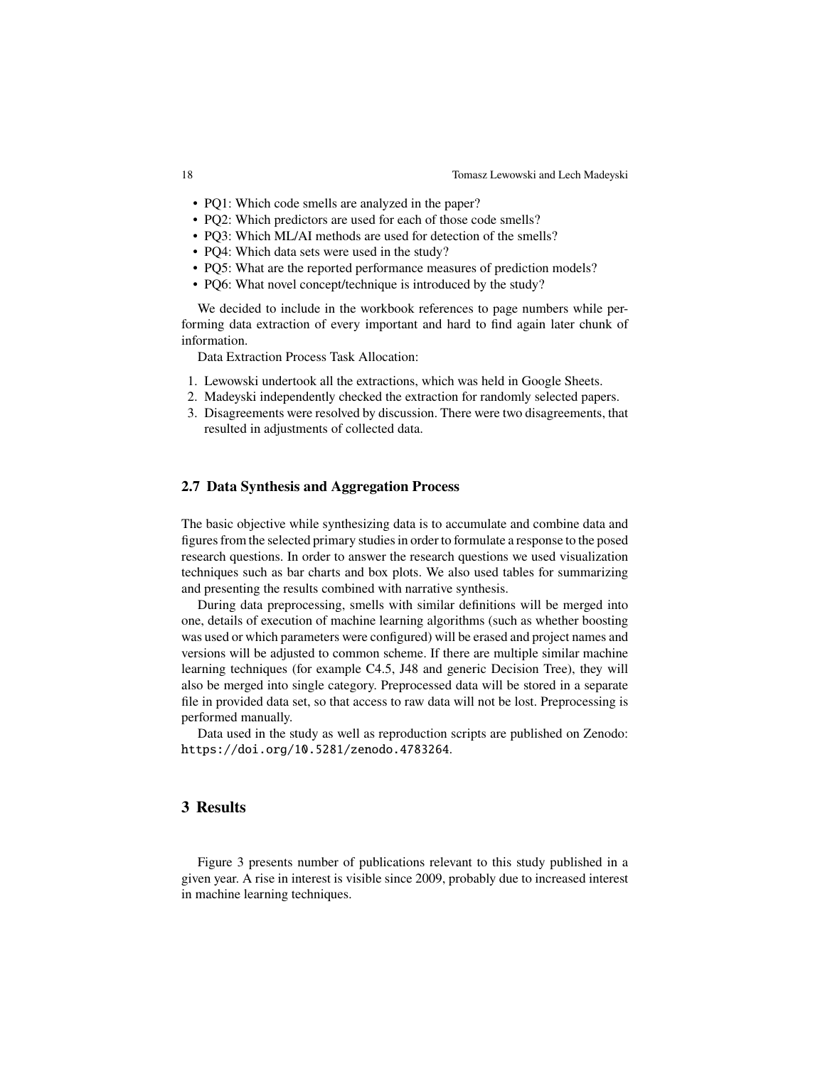- PQ1: Which code smells are analyzed in the paper?
- PQ2: Which predictors are used for each of those code smells?
- PQ3: Which ML/AI methods are used for detection of the smells?
- PQ4: Which data sets were used in the study?
- PQ5: What are the reported performance measures of prediction models?
- PQ6: What novel concept/technique is introduced by the study?

We decided to include in the workbook references to page numbers while performing data extraction of every important and hard to find again later chunk of information.

Data Extraction Process Task Allocation:

- 1. Lewowski undertook all the extractions, which was held in Google Sheets.
- 2. Madeyski independently checked the extraction for randomly selected papers.
- 3. Disagreements were resolved by discussion. There were two disagreements, that resulted in adjustments of collected data.

# **2.7 Data Synthesis and Aggregation Process**

The basic objective while synthesizing data is to accumulate and combine data and figures from the selected primary studies in order to formulate a response to the posed research questions. In order to answer the research questions we used visualization techniques such as bar charts and box plots. We also used tables for summarizing and presenting the results combined with narrative synthesis.

During data preprocessing, smells with similar definitions will be merged into one, details of execution of machine learning algorithms (such as whether boosting was used or which parameters were configured) will be erased and project names and versions will be adjusted to common scheme. If there are multiple similar machine learning techniques (for example C4.5, J48 and generic Decision Tree), they will also be merged into single category. Preprocessed data will be stored in a separate file in provided data set, so that access to raw data will not be lost. Preprocessing is performed manually.

Data used in the study as well as reproduction scripts are published on Zenodo: <https://doi.org/10.5281/zenodo.4783264>.

# <span id="page-17-0"></span>**3 Results**

Figure [3](#page-18-0) presents number of publications relevant to this study published in a given year. A rise in interest is visible since 2009, probably due to increased interest in machine learning techniques.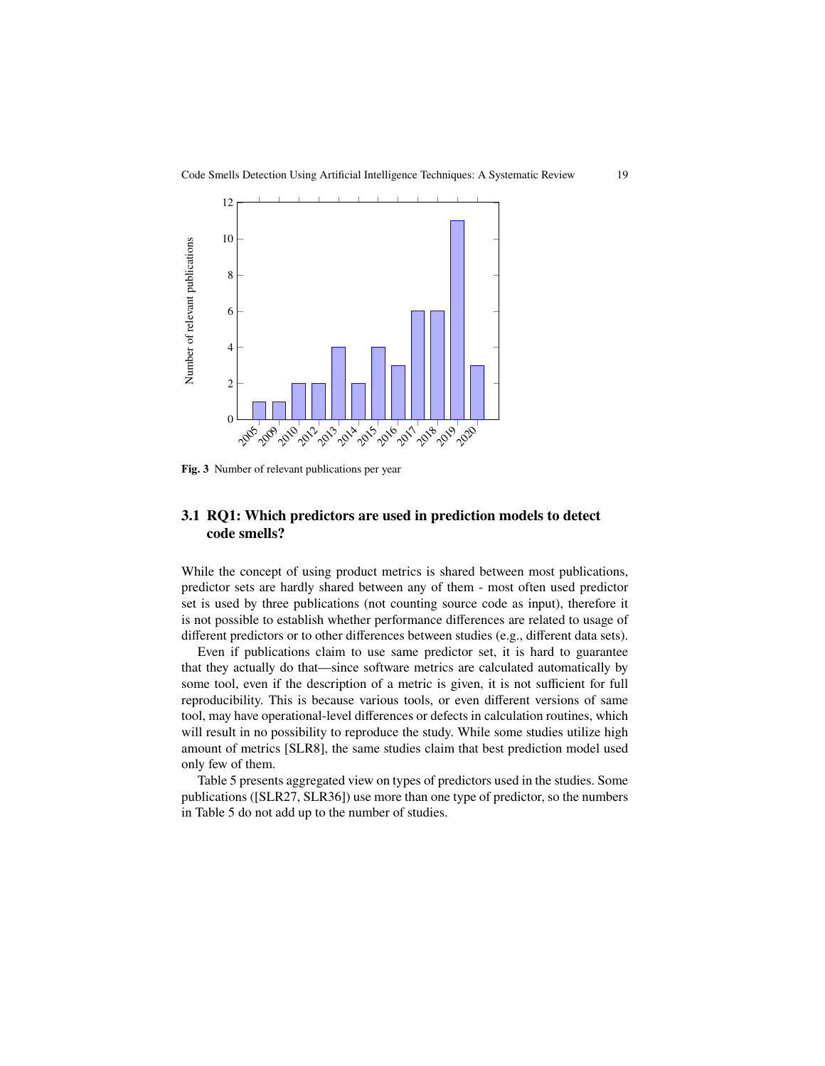

<span id="page-18-0"></span>**Fig. 3** Number of relevant publications per year

# **3.1 RQ1: Which predictors are used in prediction models to detect code smells?**

While the concept of using product metrics is shared between most publications, predictor sets are hardly shared between any of them - most often used predictor set is used by three publications (not counting source code as input), therefore it is not possible to establish whether performance differences are related to usage of different predictors or to other differences between studies (e.g., different data sets).

Even if publications claim to use same predictor set, it is hard to guarantee that they actually do that—since software metrics are calculated automatically by some tool, even if the description of a metric is given, it is not sufficient for full reproducibility. This is because various tools, or even different versions of same tool, may have operational-level differences or defects in calculation routines, which will result in no possibility to reproduce the study. While some studies utilize high amount of metrics [\[SLR8\]](#page-31-0), the same studies claim that best prediction model used only few of them.

Table [5](#page-19-0) presents aggregated view on types of predictors used in the studies. Some publications ([\[SLR27,](#page-33-1) [SLR36\]](#page-34-0)) use more than one type of predictor, so the numbers in Table [5](#page-19-0) do not add up to the number of studies.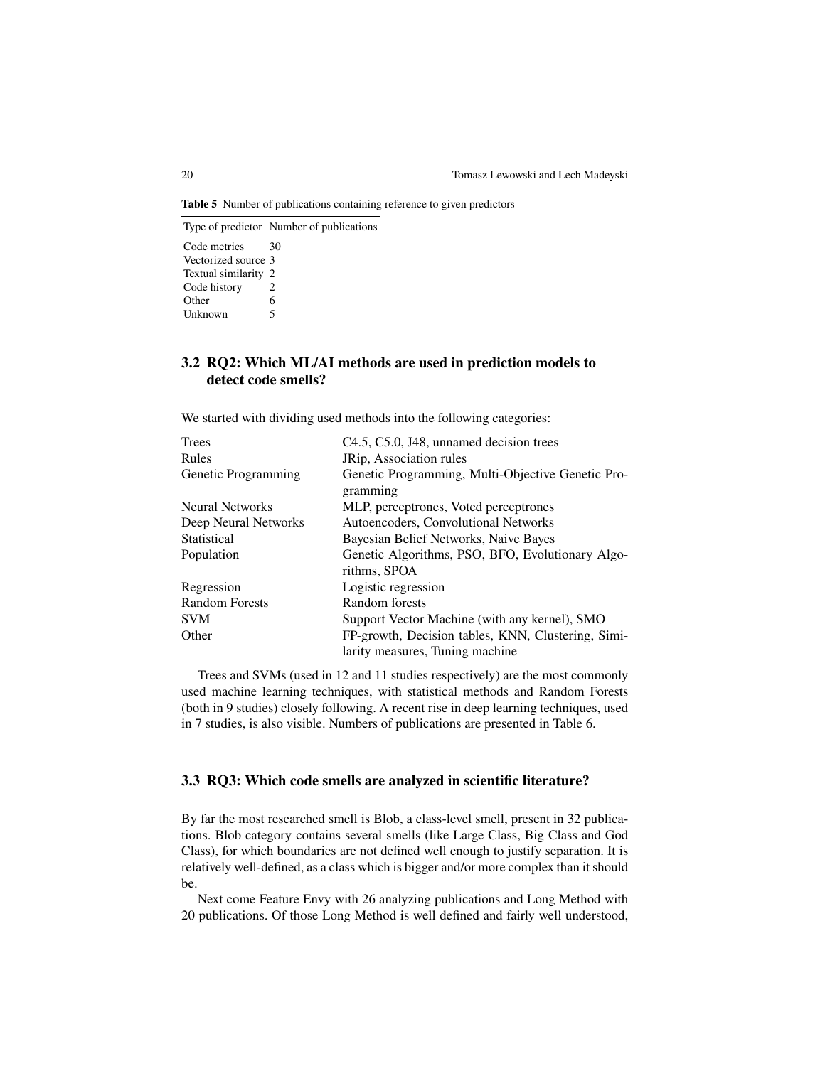<span id="page-19-0"></span>**Table 5** Number of publications containing reference to given predictors

Type of predictor Number of publications

Code metrics 30 Vectorized source 3 Textual similarity 2<br>Code history 2 Code history Other 6<br>
Unknown 5 Unknown 5

# **3.2 RQ2: Which ML/AI methods are used in prediction models to detect code smells?**

We started with dividing used methods into the following categories:

| <b>Trees</b>           | C <sub>4.5</sub> , C <sub>5.0</sub> , J <sub>48</sub> , unnamed decision trees |
|------------------------|--------------------------------------------------------------------------------|
| Rules                  | JRip, Association rules                                                        |
| Genetic Programming    | Genetic Programming, Multi-Objective Genetic Pro-<br>gramming                  |
| <b>Neural Networks</b> | MLP, perceptrones, Voted perceptrones                                          |
| Deep Neural Networks   | Autoencoders, Convolutional Networks                                           |
| Statistical            | Bayesian Belief Networks, Naive Bayes                                          |
| Population             | Genetic Algorithms, PSO, BFO, Evolutionary Algo-<br>rithms, SPOA               |
| Regression             | Logistic regression                                                            |
| <b>Random Forests</b>  | Random forests                                                                 |
| <b>SVM</b>             | Support Vector Machine (with any kernel), SMO                                  |
| Other                  | FP-growth, Decision tables, KNN, Clustering, Simi-                             |
|                        | larity measures, Tuning machine                                                |

Trees and SVMs (used in 12 and 11 studies respectively) are the most commonly used machine learning techniques, with statistical methods and Random Forests (both in 9 studies) closely following. A recent rise in deep learning techniques, used in 7 studies, is also visible. Numbers of publications are presented in Table [6.](#page-20-0)

# **3.3 RQ3: Which code smells are analyzed in scientific literature?**

By far the most researched smell is Blob, a class-level smell, present in 32 publications. Blob category contains several smells (like Large Class, Big Class and God Class), for which boundaries are not defined well enough to justify separation. It is relatively well-defined, as a class which is bigger and/or more complex than it should be.

Next come Feature Envy with 26 analyzing publications and Long Method with 20 publications. Of those Long Method is well defined and fairly well understood,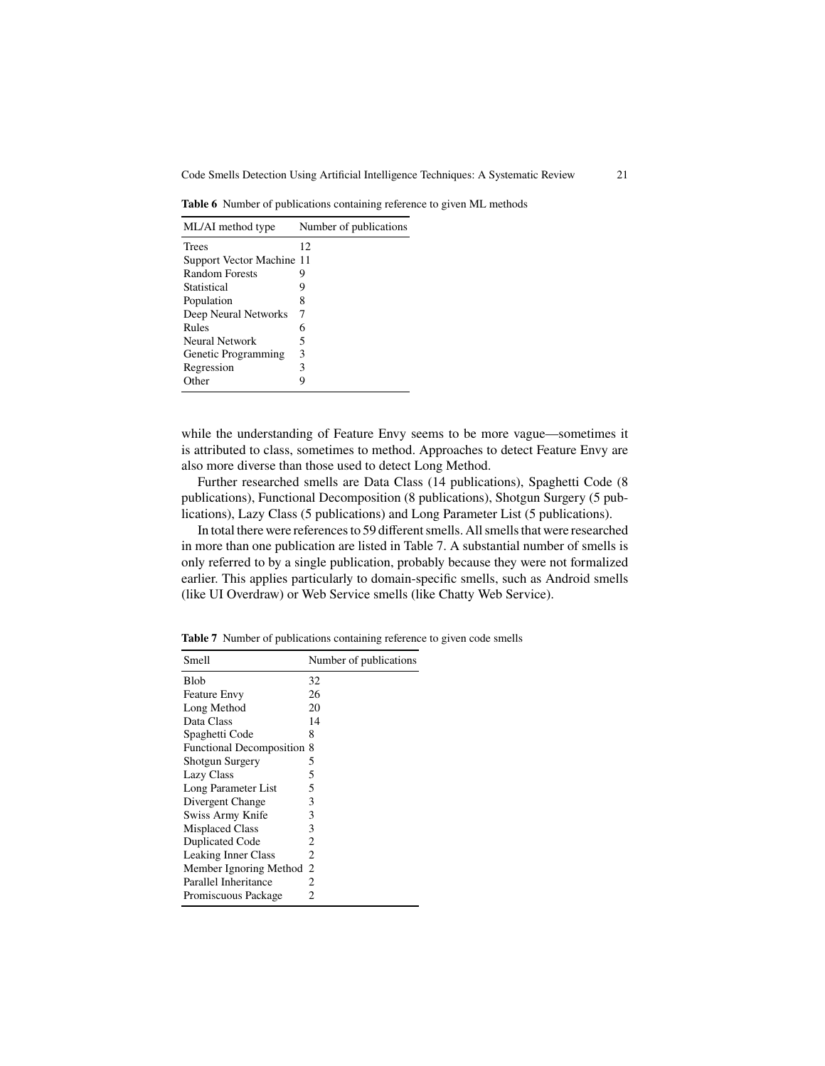<span id="page-20-0"></span>**Table 6** Number of publications containing reference to given ML methods

| ML/AI method type         | Number of publications |
|---------------------------|------------------------|
| <b>Trees</b>              | 12                     |
| Support Vector Machine 11 |                        |
| <b>Random Forests</b>     | 9                      |
| Statistical               | 9                      |
| Population                | 8                      |
| Deep Neural Networks      | 7                      |
| Rules                     | 6                      |
| Neural Network            | 5                      |
| Genetic Programming       | 3                      |
| Regression                | 3                      |
| Other                     |                        |

while the understanding of Feature Envy seems to be more vague—sometimes it is attributed to class, sometimes to method. Approaches to detect Feature Envy are also more diverse than those used to detect Long Method.

Further researched smells are Data Class (14 publications), Spaghetti Code (8 publications), Functional Decomposition (8 publications), Shotgun Surgery (5 publications), Lazy Class (5 publications) and Long Parameter List (5 publications).

In total there were references to 59 different smells. All smells that were researched in more than one publication are listed in Table [7.](#page-20-1) A substantial number of smells is only referred to by a single publication, probably because they were not formalized earlier. This applies particularly to domain-specific smells, such as Android smells (like UI Overdraw) or Web Service smells (like Chatty Web Service).

| Smell                           | Number of publications |
|---------------------------------|------------------------|
| <b>Blob</b>                     | 32                     |
| <b>Feature Envy</b>             | 26                     |
| Long Method                     | 20                     |
| Data Class                      | 14                     |
| Spaghetti Code                  | 8                      |
| <b>Functional Decomposition</b> | 8                      |
| Shotgun Surgery                 | 5                      |
| <b>Lazy Class</b>               | 5                      |
| Long Parameter List             | 5                      |
| Divergent Change                | 3                      |
| Swiss Army Knife                | 3                      |
| <b>Misplaced Class</b>          | 3                      |
| <b>Duplicated Code</b>          | 2                      |
| <b>Leaking Inner Class</b>      | 2                      |
| Member Ignoring Method          | 2                      |
| Parallel Inheritance            | 2                      |
| Promiscuous Package             | 2                      |

<span id="page-20-1"></span>**Table 7** Number of publications containing reference to given code smells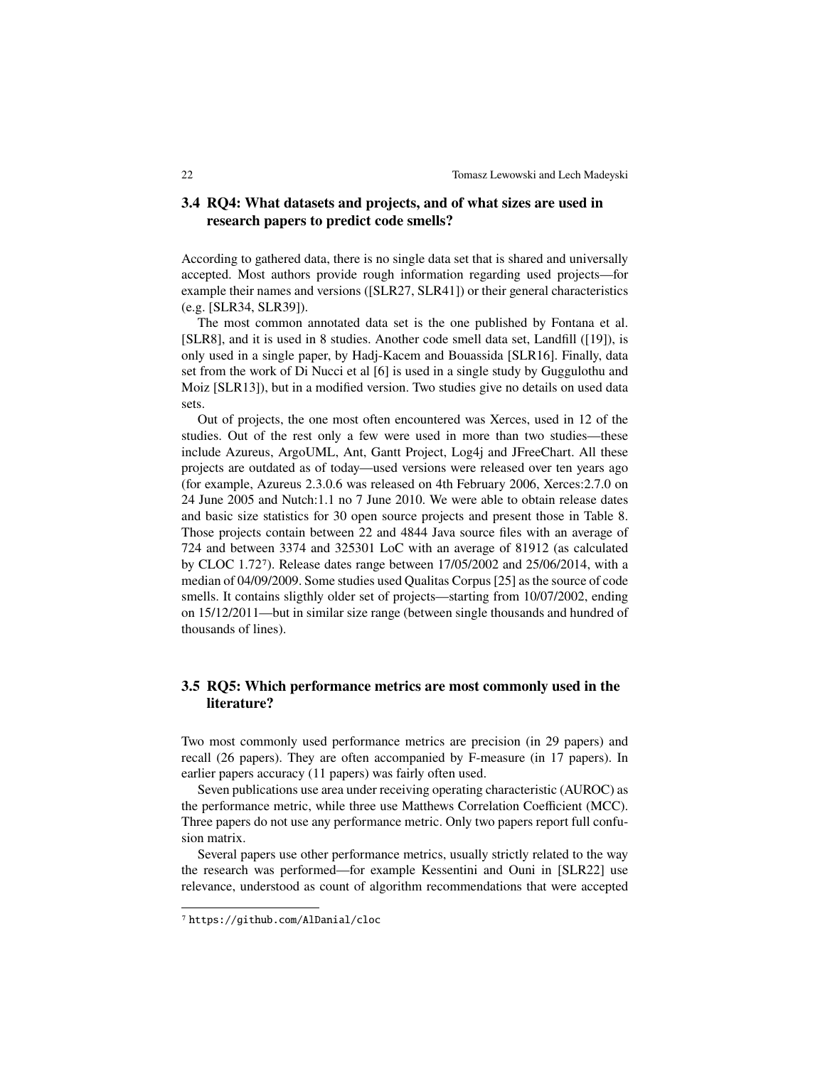# **3.4 RQ4: What datasets and projects, and of what sizes are used in research papers to predict code smells?**

According to gathered data, there is no single data set that is shared and universally accepted. Most authors provide rough information regarding used projects—for example their names and versions ([\[SLR27,](#page-33-1) [SLR41\]](#page-34-1)) or their general characteristics (e.g. [\[SLR34,](#page-34-2) [SLR39\]](#page-34-3)).

The most common annotated data set is the one published by Fontana et al. [\[SLR8\]](#page-31-0), and it is used in 8 studies. Another code smell data set, Landfill ([\[19\]](#page-30-10)), is only used in a single paper, by Hadj-Kacem and Bouassida [\[SLR16\]](#page-32-1). Finally, data set from the work of Di Nucci et al [\[6\]](#page-29-9) is used in a single study by Guggulothu and Moiz [\[SLR13\]](#page-32-2)), but in a modified version. Two studies give no details on used data sets.

Out of projects, the one most often encountered was Xerces, used in 12 of the studies. Out of the rest only a few were used in more than two studies—these include Azureus, ArgoUML, Ant, Gantt Project, Log4j and JFreeChart. All these projects are outdated as of today—used versions were released over ten years ago (for example, Azureus 2.3.0.6 was released on 4th February 2006, Xerces:2.7.0 on 24 June 2005 and Nutch:1.1 no 7 June 2010. We were able to obtain release dates and basic size statistics for 30 open source projects and present those in Table [8.](#page-22-0) Those projects contain between 22 and 4844 Java source files with an average of 724 and between 3374 and 325301 LoC with an average of 81912 (as calculated by CLOC 1.72[7](#page-21-0)). Release dates range between 17/05/2002 and 25/06/2014, with a median of 04/09/2009. Some studies used Qualitas Corpus [\[25\]](#page-30-11) as the source of code smells. It contains sligthly older set of projects—starting from 10/07/2002, ending on 15/12/2011—but in similar size range (between single thousands and hundred of thousands of lines).

# **3.5 RQ5: Which performance metrics are most commonly used in the literature?**

Two most commonly used performance metrics are precision (in 29 papers) and recall (26 papers). They are often accompanied by F-measure (in 17 papers). In earlier papers accuracy (11 papers) was fairly often used.

Seven publications use area under receiving operating characteristic (AUROC) as the performance metric, while three use Matthews Correlation Coefficient (MCC). Three papers do not use any performance metric. Only two papers report full confusion matrix.

Several papers use other performance metrics, usually strictly related to the way the research was performed—for example Kessentini and Ouni in [\[SLR22\]](#page-33-2) use relevance, understood as count of algorithm recommendations that were accepted

<span id="page-21-0"></span><sup>7</sup> <https://github.com/AlDanial/cloc>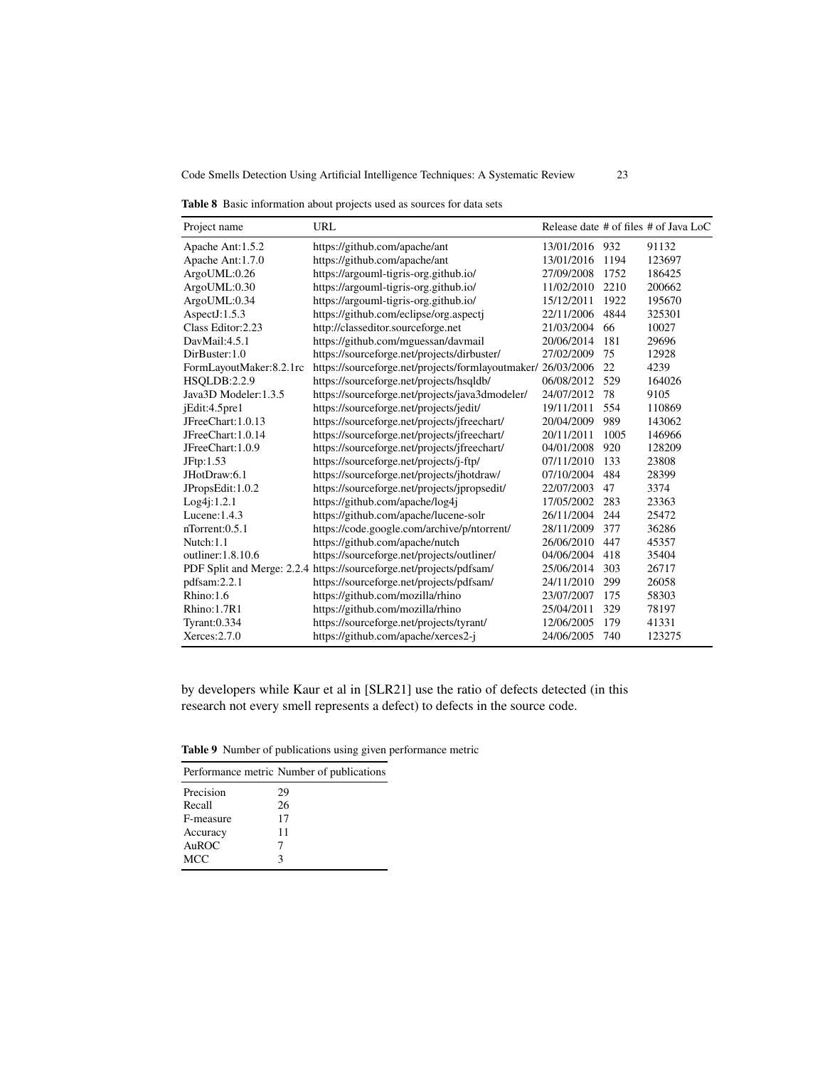<span id="page-22-0"></span>**Table 8** Basic information about projects used as sources for data sets

| Project name            | <b>URL</b>                                                          |            |      | Release date $#$ of files $#$ of Java LoC |
|-------------------------|---------------------------------------------------------------------|------------|------|-------------------------------------------|
| Apache Ant: 1.5.2       | https://github.com/apache/ant                                       | 13/01/2016 | 932  | 91132                                     |
| Apache Ant:1.7.0        | https://github.com/apache/ant                                       | 13/01/2016 | 1194 | 123697                                    |
| ArgoUML:0.26            | https://argouml-tigris-org.github.io/                               | 27/09/2008 | 1752 | 186425                                    |
| ArgoUML:0.30            | https://argouml-tigris-org.github.io/                               | 11/02/2010 | 2210 | 200662                                    |
| ArgoUML:0.34            | https://argouml-tigris-org.github.io/                               | 15/12/2011 | 1922 | 195670                                    |
| AspectJ:1.5.3           | https://github.com/eclipse/org.aspectj                              | 22/11/2006 | 4844 | 325301                                    |
| Class Editor: 2.23      | http://classeditor.sourceforge.net                                  | 21/03/2004 | 66   | 10027                                     |
| DavMail:4.5.1           | https://github.com/mguessan/davmail                                 | 20/06/2014 | 181  | 29696                                     |
| DirBuster:1.0           | https://sourceforge.net/projects/dirbuster/                         | 27/02/2009 | 75   | 12928                                     |
| FormLayoutMaker:8.2.1rc | https://sourceforge.net/projects/formlayoutmaker/                   | 26/03/2006 | 22   | 4239                                      |
| <b>HSOLDB:2.2.9</b>     | https://sourceforge.net/projects/hsqldb/                            | 06/08/2012 | 529  | 164026                                    |
| Java3D Modeler:1.3.5    | https://sourceforge.net/projects/java3dmodeler/                     | 24/07/2012 | 78   | 9105                                      |
| jEdit:4.5pre1           | https://sourceforge.net/projects/jedit/                             | 19/11/2011 | 554  | 110869                                    |
| JFreeChart: 1.0.13      | https://sourceforge.net/projects/jfreechart/                        | 20/04/2009 | 989  | 143062                                    |
| JFreeChart:1.0.14       | https://sourceforge.net/projects/jfreechart/                        | 20/11/2011 | 1005 | 146966                                    |
| JFreeChart:1.0.9        | https://sourceforge.net/projects/jfreechart/                        | 04/01/2008 | 920  | 128209                                    |
| JFtp:1.53               | https://sourceforge.net/projects/j-ftp/                             | 07/11/2010 | 133  | 23808                                     |
| JHotDraw:6.1            | https://sourceforge.net/projects/jhotdraw/                          | 07/10/2004 | 484  | 28399                                     |
| JPropsEdit:1.0.2        | https://sourceforge.net/projects/jpropsedit/                        | 22/07/2003 | 47   | 3374                                      |
| Log4i:1.2.1             | https://github.com/apache/log4j                                     | 17/05/2002 | 283  | 23363                                     |
| Lucene: $1.4.3$         | https://github.com/apache/lucene-solr                               | 26/11/2004 | 244  | 25472                                     |
| nTorrent: 0.5.1         | https://code.google.com/archive/p/ntorrent/                         | 28/11/2009 | 377  | 36286                                     |
| Nutch: 1.1              | https://github.com/apache/nutch                                     | 26/06/2010 | 447  | 45357                                     |
| outliner: 1.8.10.6      | https://sourceforge.net/projects/outliner/                          | 04/06/2004 | 418  | 35404                                     |
|                         | PDF Split and Merge: 2.2.4 https://sourceforge.net/projects/pdfsam/ | 25/06/2014 | 303  | 26717                                     |
| pdfsam:2.2.1            | https://sourceforge.net/projects/pdfsam/                            | 24/11/2010 | 299  | 26058                                     |
| Rhino:1.6               | https://github.com/mozilla/rhino                                    | 23/07/2007 | 175  | 58303                                     |
| Rhino:1.7R1             | https://github.com/mozilla/rhino                                    | 25/04/2011 | 329  | 78197                                     |
| Tyrant: 0.334           | https://sourceforge.net/projects/tyrant/                            | 12/06/2005 | 179  | 41331                                     |
| Xerces:2.7.0            | https://github.com/apache/xerces2-j                                 | 24/06/2005 | 740  | 123275                                    |

by developers while Kaur et al in [\[SLR21\]](#page-33-3) use the ratio of defects detected (in this research not every smell represents a defect) to defects in the source code.

**Table 9** Number of publications using given performance metric

| Performance metric Number of publications |    |
|-------------------------------------------|----|
| Precision                                 | 29 |
| Recall                                    | 26 |
| F-measure                                 | 17 |
| Accuracy                                  | 11 |
| AuROC                                     |    |
| <b>MCC</b>                                | 3  |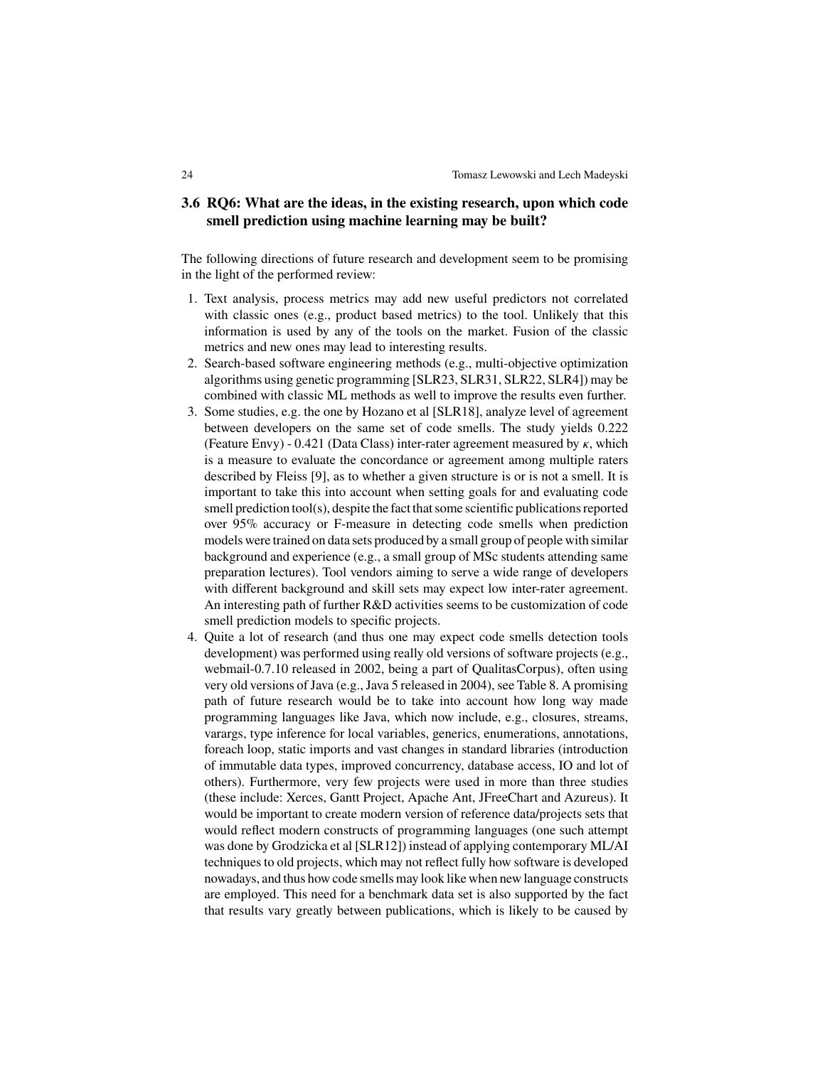# **3.6 RQ6: What are the ideas, in the existing research, upon which code smell prediction using machine learning may be built?**

The following directions of future research and development seem to be promising in the light of the performed review:

- 1. Text analysis, process metrics may add new useful predictors not correlated with classic ones (e.g., product based metrics) to the tool. Unlikely that this information is used by any of the tools on the market. Fusion of the classic metrics and new ones may lead to interesting results.
- 2. Search-based software engineering methods (e.g., multi-objective optimization algorithms using genetic programming [\[SLR23,](#page-33-4) [SLR31,](#page-33-0) [SLR22,](#page-33-2) [SLR4\]](#page-31-1)) may be combined with classic ML methods as well to improve the results even further.
- 3. Some studies, e.g. the one by Hozano et al [\[SLR18\]](#page-32-3), analyze level of agreement between developers on the same set of code smells. The study yields 0.222 (Feature Envy) - 0.421 (Data Class) inter-rater agreement measured by  $\kappa$ , which is a measure to evaluate the concordance or agreement among multiple raters described by Fleiss [\[9\]](#page-29-10), as to whether a given structure is or is not a smell. It is important to take this into account when setting goals for and evaluating code smell prediction tool(s), despite the fact that some scientific publications reported over 95% accuracy or F-measure in detecting code smells when prediction models were trained on data sets produced by a small group of people with similar background and experience (e.g., a small group of MSc students attending same preparation lectures). Tool vendors aiming to serve a wide range of developers with different background and skill sets may expect low inter-rater agreement. An interesting path of further R&D activities seems to be customization of code smell prediction models to specific projects.
- 4. Quite a lot of research (and thus one may expect code smells detection tools development) was performed using really old versions of software projects (e.g., webmail-0.7.10 released in 2002, being a part of QualitasCorpus), often using very old versions of Java (e.g., Java 5 released in 2004), see Table [8.](#page-22-0) A promising path of future research would be to take into account how long way made programming languages like Java, which now include, e.g., closures, streams, varargs, type inference for local variables, generics, enumerations, annotations, foreach loop, static imports and vast changes in standard libraries (introduction of immutable data types, improved concurrency, database access, IO and lot of others). Furthermore, very few projects were used in more than three studies (these include: Xerces, Gantt Project, Apache Ant, JFreeChart and Azureus). It would be important to create modern version of reference data/projects sets that would reflect modern constructs of programming languages (one such attempt was done by Grodzicka et al [\[SLR12\]](#page-32-0)) instead of applying contemporary ML/AI techniques to old projects, which may not reflect fully how software is developed nowadays, and thus how code smells may look like when new language constructs are employed. This need for a benchmark data set is also supported by the fact that results vary greatly between publications, which is likely to be caused by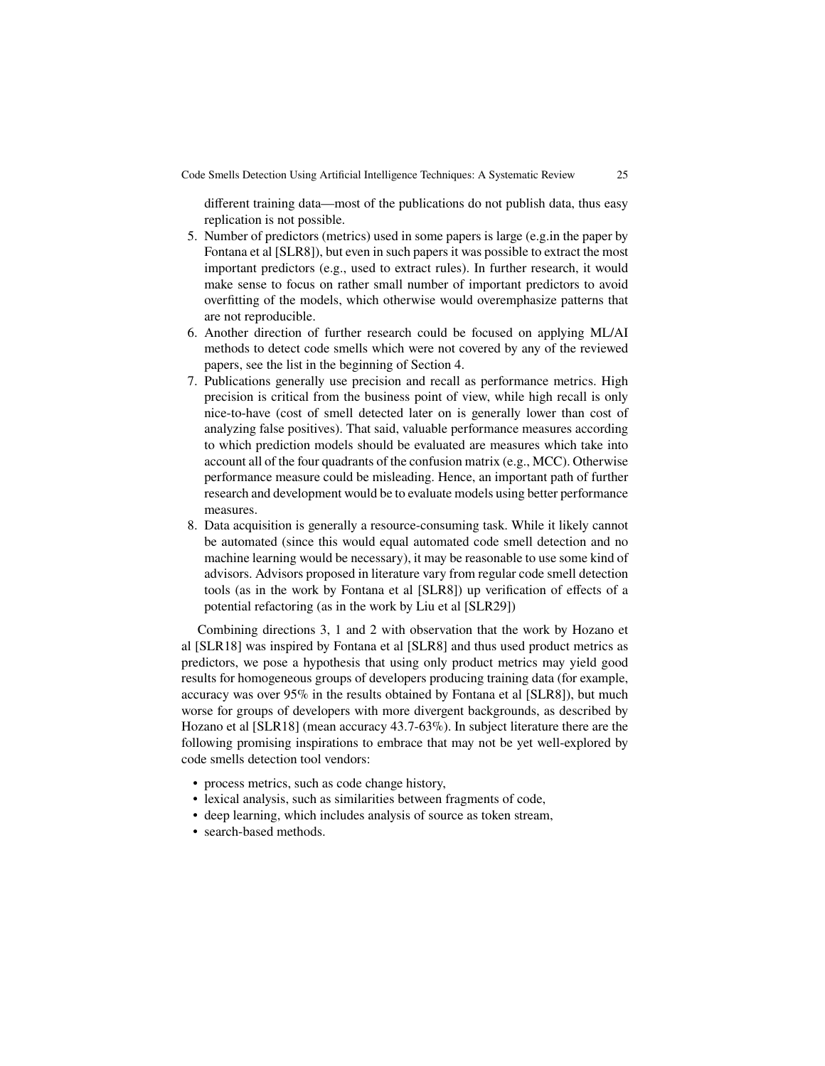different training data—most of the publications do not publish data, thus easy replication is not possible.

- 5. Number of predictors (metrics) used in some papers is large (e.g.in the paper by Fontana et al [\[SLR8\]](#page-31-0)), but even in such papers it was possible to extract the most important predictors (e.g., used to extract rules). In further research, it would make sense to focus on rather small number of important predictors to avoid overfitting of the models, which otherwise would overemphasize patterns that are not reproducible.
- 6. Another direction of further research could be focused on applying ML/AI methods to detect code smells which were not covered by any of the reviewed papers, see the list in the beginning of Section [4.](#page-25-0)
- 7. Publications generally use precision and recall as performance metrics. High precision is critical from the business point of view, while high recall is only nice-to-have (cost of smell detected later on is generally lower than cost of analyzing false positives). That said, valuable performance measures according to which prediction models should be evaluated are measures which take into account all of the four quadrants of the confusion matrix (e.g., MCC). Otherwise performance measure could be misleading. Hence, an important path of further research and development would be to evaluate models using better performance measures.
- 8. Data acquisition is generally a resource-consuming task. While it likely cannot be automated (since this would equal automated code smell detection and no machine learning would be necessary), it may be reasonable to use some kind of advisors. Advisors proposed in literature vary from regular code smell detection tools (as in the work by Fontana et al [\[SLR8\]](#page-31-0)) up verification of effects of a potential refactoring (as in the work by Liu et al [\[SLR29\]](#page-33-5))

Combining directions 3, 1 and 2 with observation that the work by Hozano et al [\[SLR18\]](#page-32-3) was inspired by Fontana et al [\[SLR8\]](#page-31-0) and thus used product metrics as predictors, we pose a hypothesis that using only product metrics may yield good results for homogeneous groups of developers producing training data (for example, accuracy was over 95% in the results obtained by Fontana et al [\[SLR8\]](#page-31-0)), but much worse for groups of developers with more divergent backgrounds, as described by Hozano et al [\[SLR18\]](#page-32-3) (mean accuracy 43.7-63%). In subject literature there are the following promising inspirations to embrace that may not be yet well-explored by code smells detection tool vendors:

- process metrics, such as code change history,
- lexical analysis, such as similarities between fragments of code,
- deep learning, which includes analysis of source as token stream,
- search-based methods.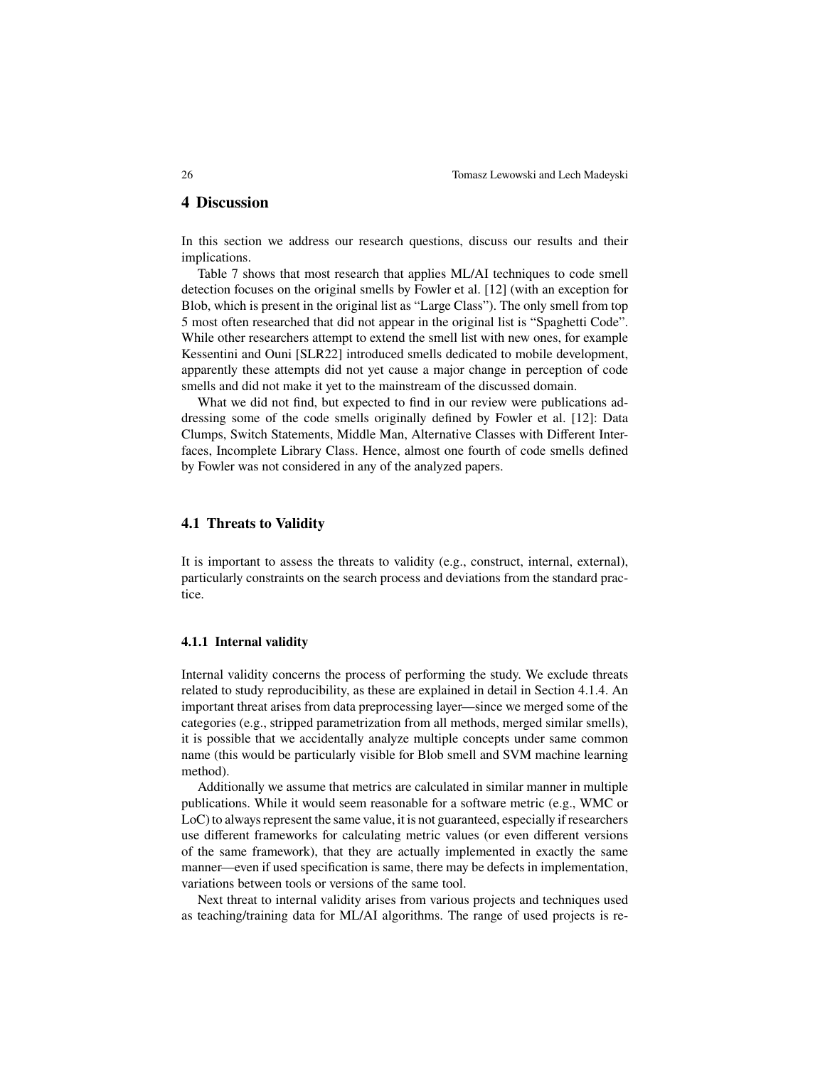# <span id="page-25-0"></span>**4 Discussion**

In this section we address our research questions, discuss our results and their implications.

Table [7](#page-20-1) shows that most research that applies ML/AI techniques to code smell detection focuses on the original smells by Fowler et al. [\[12\]](#page-29-1) (with an exception for Blob, which is present in the original list as "Large Class"). The only smell from top 5 most often researched that did not appear in the original list is "Spaghetti Code". While other researchers attempt to extend the smell list with new ones, for example Kessentini and Ouni [\[SLR22\]](#page-33-2) introduced smells dedicated to mobile development, apparently these attempts did not yet cause a major change in perception of code smells and did not make it yet to the mainstream of the discussed domain.

What we did not find, but expected to find in our review were publications addressing some of the code smells originally defined by Fowler et al. [\[12\]](#page-29-1): Data Clumps, Switch Statements, Middle Man, Alternative Classes with Different Interfaces, Incomplete Library Class. Hence, almost one fourth of code smells defined by Fowler was not considered in any of the analyzed papers.

#### **4.1 Threats to Validity**

It is important to assess the threats to validity (e.g., construct, internal, external), particularly constraints on the search process and deviations from the standard practice.

#### **4.1.1 Internal validity**

Internal validity concerns the process of performing the study. We exclude threats related to study reproducibility, as these are explained in detail in Section [4.1.4.](#page-27-1) An important threat arises from data preprocessing layer—since we merged some of the categories (e.g., stripped parametrization from all methods, merged similar smells), it is possible that we accidentally analyze multiple concepts under same common name (this would be particularly visible for Blob smell and SVM machine learning method).

Additionally we assume that metrics are calculated in similar manner in multiple publications. While it would seem reasonable for a software metric (e.g., WMC or LoC) to always represent the same value, it is not guaranteed, especially if researchers use different frameworks for calculating metric values (or even different versions of the same framework), that they are actually implemented in exactly the same manner—even if used specification is same, there may be defects in implementation, variations between tools or versions of the same tool.

Next threat to internal validity arises from various projects and techniques used as teaching/training data for ML/AI algorithms. The range of used projects is re-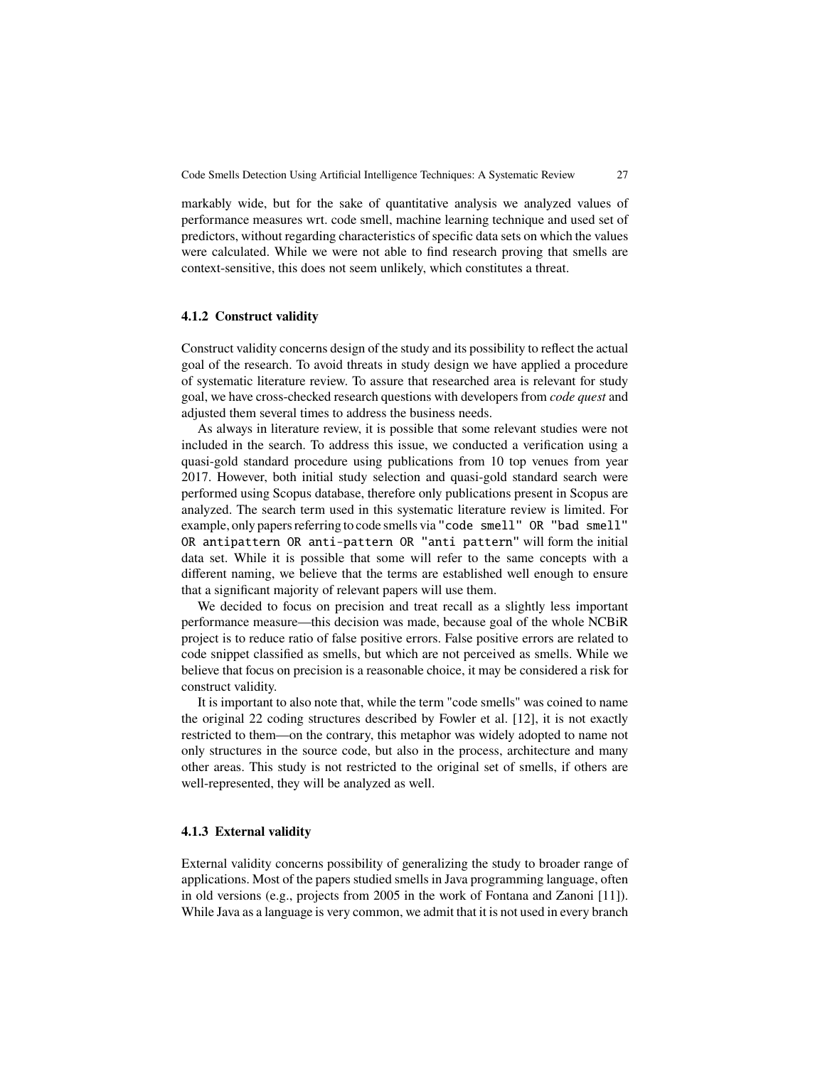markably wide, but for the sake of quantitative analysis we analyzed values of performance measures wrt. code smell, machine learning technique and used set of predictors, without regarding characteristics of specific data sets on which the values were calculated. While we were not able to find research proving that smells are context-sensitive, this does not seem unlikely, which constitutes a threat.

### **4.1.2 Construct validity**

Construct validity concerns design of the study and its possibility to reflect the actual goal of the research. To avoid threats in study design we have applied a procedure of systematic literature review. To assure that researched area is relevant for study goal, we have cross-checked research questions with developers from *code quest* and adjusted them several times to address the business needs.

As always in literature review, it is possible that some relevant studies were not included in the search. To address this issue, we conducted a verification using a quasi-gold standard procedure using publications from 10 top venues from year 2017. However, both initial study selection and quasi-gold standard search were performed using Scopus database, therefore only publications present in Scopus are analyzed. The search term used in this systematic literature review is limited. For example, only papers referring to code smells via "code smell" OR "bad smell" OR antipattern OR anti-pattern OR "anti pattern" will form the initial data set. While it is possible that some will refer to the same concepts with a different naming, we believe that the terms are established well enough to ensure that a significant majority of relevant papers will use them.

We decided to focus on precision and treat recall as a slightly less important performance measure—this decision was made, because goal of the whole NCBiR project is to reduce ratio of false positive errors. False positive errors are related to code snippet classified as smells, but which are not perceived as smells. While we believe that focus on precision is a reasonable choice, it may be considered a risk for construct validity.

It is important to also note that, while the term "code smells" was coined to name the original 22 coding structures described by Fowler et al. [\[12\]](#page-29-1), it is not exactly restricted to them—on the contrary, this metaphor was widely adopted to name not only structures in the source code, but also in the process, architecture and many other areas. This study is not restricted to the original set of smells, if others are well-represented, they will be analyzed as well.

#### **4.1.3 External validity**

External validity concerns possibility of generalizing the study to broader range of applications. Most of the papers studied smells in Java programming language, often in old versions (e.g., projects from 2005 in the work of Fontana and Zanoni [\[11\]](#page-29-11)). While Java as a language is very common, we admit that it is not used in every branch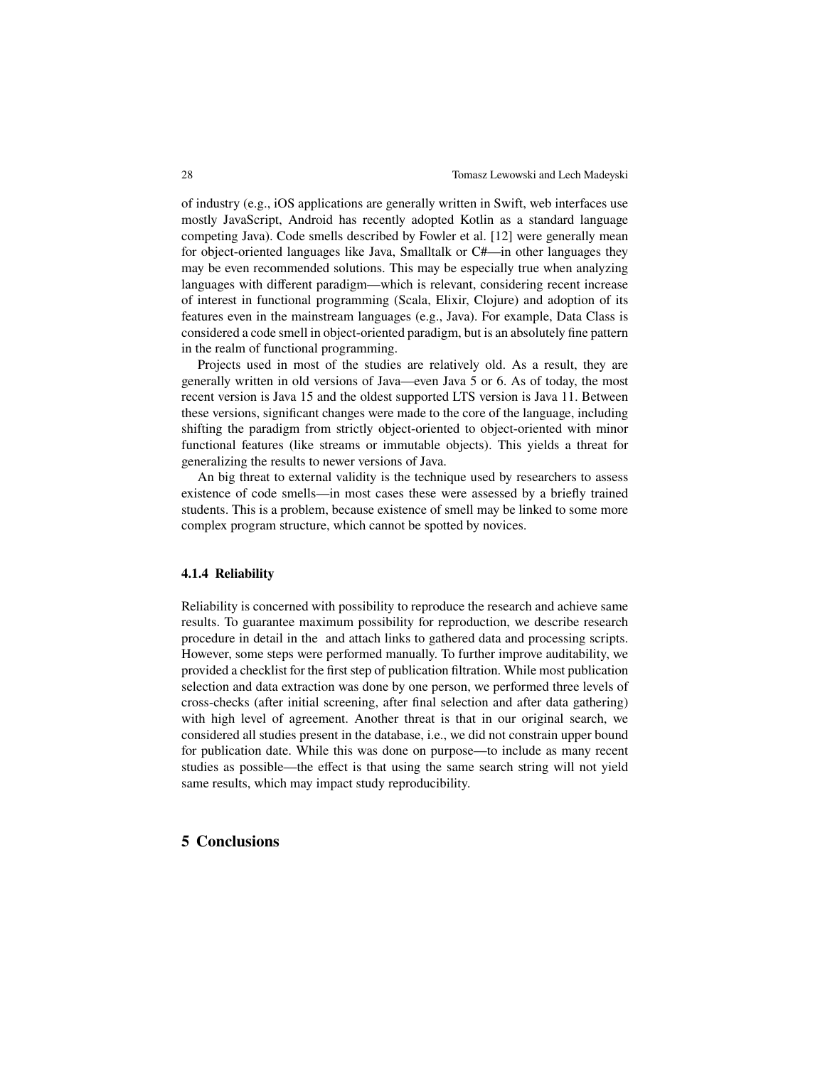of industry (e.g., iOS applications are generally written in Swift, web interfaces use mostly JavaScript, Android has recently adopted Kotlin as a standard language competing Java). Code smells described by Fowler et al. [\[12\]](#page-29-1) were generally mean for object-oriented languages like Java, Smalltalk or C#—in other languages they may be even recommended solutions. This may be especially true when analyzing languages with different paradigm—which is relevant, considering recent increase of interest in functional programming (Scala, Elixir, Clojure) and adoption of its features even in the mainstream languages (e.g., Java). For example, Data Class is considered a code smell in object-oriented paradigm, but is an absolutely fine pattern in the realm of functional programming.

Projects used in most of the studies are relatively old. As a result, they are generally written in old versions of Java—even Java 5 or 6. As of today, the most recent version is Java 15 and the oldest supported LTS version is Java 11. Between these versions, significant changes were made to the core of the language, including shifting the paradigm from strictly object-oriented to object-oriented with minor functional features (like streams or immutable objects). This yields a threat for generalizing the results to newer versions of Java.

An big threat to external validity is the technique used by researchers to assess existence of code smells—in most cases these were assessed by a briefly trained students. This is a problem, because existence of smell may be linked to some more complex program structure, which cannot be spotted by novices.

#### <span id="page-27-1"></span>**4.1.4 Reliability**

Reliability is concerned with possibility to reproduce the research and achieve same results. To guarantee maximum possibility for reproduction, we describe research procedure in detail in the and attach links to gathered data and processing scripts. However, some steps were performed manually. To further improve auditability, we provided a checklist for the first step of publication filtration. While most publication selection and data extraction was done by one person, we performed three levels of cross-checks (after initial screening, after final selection and after data gathering) with high level of agreement. Another threat is that in our original search, we considered all studies present in the database, i.e., we did not constrain upper bound for publication date. While this was done on purpose—to include as many recent studies as possible—the effect is that using the same search string will not yield same results, which may impact study reproducibility.

# <span id="page-27-0"></span>**5 Conclusions**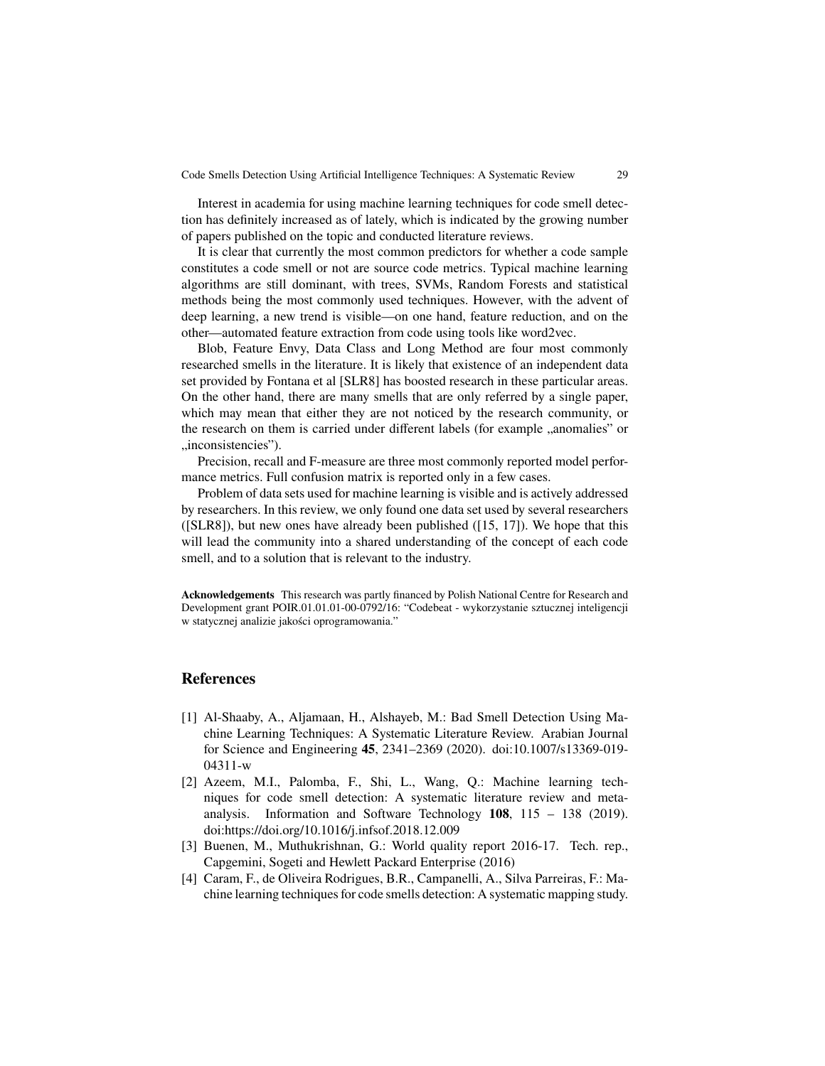Interest in academia for using machine learning techniques for code smell detection has definitely increased as of lately, which is indicated by the growing number of papers published on the topic and conducted literature reviews.

It is clear that currently the most common predictors for whether a code sample constitutes a code smell or not are source code metrics. Typical machine learning algorithms are still dominant, with trees, SVMs, Random Forests and statistical methods being the most commonly used techniques. However, with the advent of deep learning, a new trend is visible—on one hand, feature reduction, and on the other—automated feature extraction from code using tools like word2vec.

Blob, Feature Envy, Data Class and Long Method are four most commonly researched smells in the literature. It is likely that existence of an independent data set provided by Fontana et al [\[SLR8\]](#page-31-0) has boosted research in these particular areas. On the other hand, there are many smells that are only referred by a single paper, which may mean that either they are not noticed by the research community, or the research on them is carried under different labels (for example  $\alpha$ , anomalies" or  $,$ inconsistencies").

Precision, recall and F-measure are three most commonly reported model performance metrics. Full confusion matrix is reported only in a few cases.

Problem of data sets used for machine learning is visible and is actively addressed by researchers. In this review, we only found one data set used by several researchers ( $[SLR8]$ ), but new ones have already been published ( $[15, 17]$  $[15, 17]$  $[15, 17]$ ). We hope that this will lead the community into a shared understanding of the concept of each code smell, and to a solution that is relevant to the industry.

**Acknowledgements** This research was partly financed by Polish National Centre for Research and Development grant POIR.01.01.01-00-0792/16: "Codebeat - wykorzystanie sztucznej inteligencji w statycznej analizie jakości oprogramowania."

# **References**

- <span id="page-28-3"></span>[1] Al-Shaaby, A., Aljamaan, H., Alshayeb, M.: Bad Smell Detection Using Machine Learning Techniques: A Systematic Literature Review. Arabian Journal for Science and Engineering **45**, 2341–2369 (2020). doi[:10.1007/s13369-019-](https://doi.org/10.1007/s13369-019-04311-w) [04311-w](https://doi.org/10.1007/s13369-019-04311-w)
- <span id="page-28-1"></span>[2] Azeem, M.I., Palomba, F., Shi, L., Wang, Q.: Machine learning techniques for code smell detection: A systematic literature review and metaanalysis. Information and Software Technology **108**, 115 – 138 (2019). doi[:https://doi.org/10.1016/j.infsof.2018.12.009](https://doi.org/https://doi.org/10.1016/j.infsof.2018.12.009)
- <span id="page-28-0"></span>[3] Buenen, M., Muthukrishnan, G.: World quality report 2016-17. Tech. rep., Capgemini, Sogeti and Hewlett Packard Enterprise (2016)
- <span id="page-28-2"></span>[4] Caram, F., de Oliveira Rodrigues, B.R., Campanelli, A., Silva Parreiras, F.: Machine learning techniques for code smells detection: A systematic mapping study.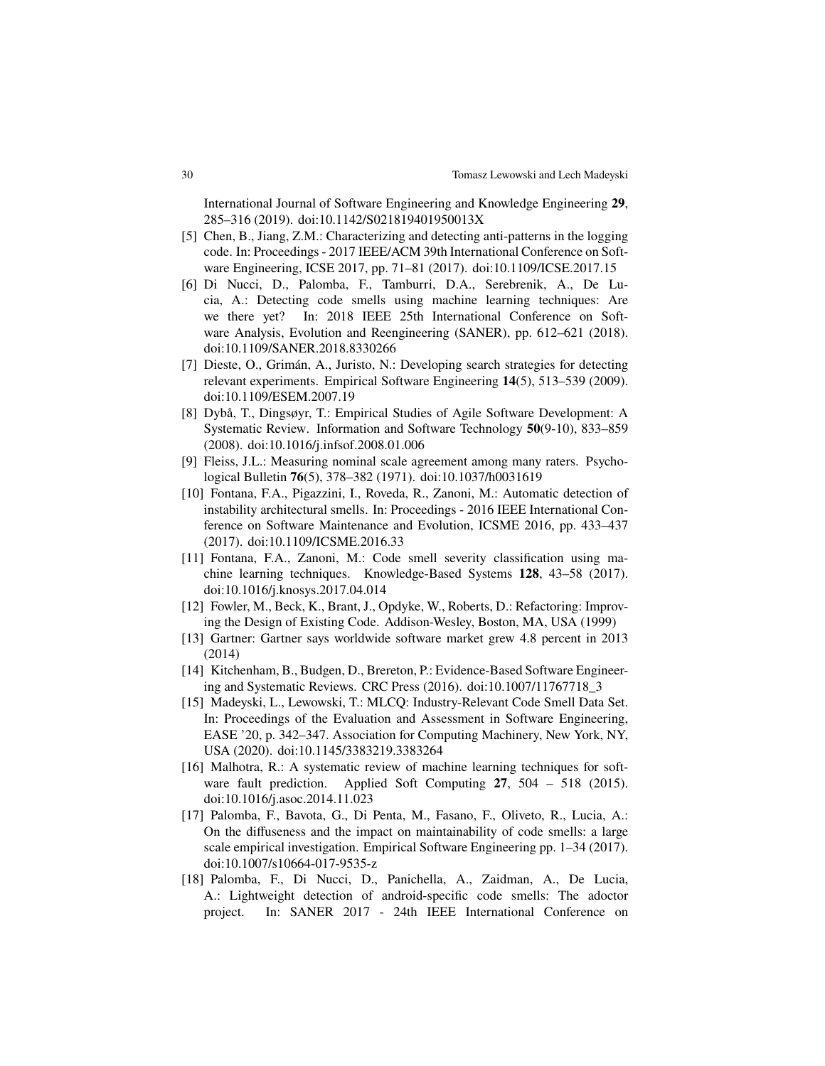International Journal of Software Engineering and Knowledge Engineering **29**, 285–316 (2019). doi[:10.1142/S021819401950013X](https://doi.org/10.1142/S021819401950013X)

- <span id="page-29-4"></span>[5] Chen, B., Jiang, Z.M.: Characterizing and detecting anti-patterns in the logging code. In: Proceedings - 2017 IEEE/ACM 39th International Conference on Software Engineering, ICSE 2017, pp. 71–81 (2017). doi[:10.1109/ICSE.2017.15](https://doi.org/10.1109/ICSE.2017.15)
- <span id="page-29-9"></span>[6] Di Nucci, D., Palomba, F., Tamburri, D.A., Serebrenik, A., De Lucia, A.: Detecting code smells using machine learning techniques: Are we there yet? In: 2018 IEEE 25th International Conference on Software Analysis, Evolution and Reengineering (SANER), pp. 612–621 (2018). doi[:10.1109/SANER.2018.8330266](https://doi.org/10.1109/SANER.2018.8330266)
- <span id="page-29-3"></span>[7] Dieste, O., Grimán, A., Juristo, N.: Developing search strategies for detecting relevant experiments. Empirical Software Engineering **14**(5), 513–539 (2009). doi[:10.1109/ESEM.2007.19](https://doi.org/10.1109/ESEM.2007.19)
- <span id="page-29-7"></span>[8] Dybå, T., Dingsøyr, T.: Empirical Studies of Agile Software Development: A Systematic Review. Information and Software Technology **50**(9-10), 833–859 (2008). doi[:10.1016/j.infsof.2008.01.006](https://doi.org/10.1016/j.infsof.2008.01.006)
- <span id="page-29-10"></span>[9] Fleiss, J.L.: Measuring nominal scale agreement among many raters. Psychological Bulletin **76**(5), 378–382 (1971). doi[:10.1037/h0031619](https://doi.org/10.1037/h0031619)
- <span id="page-29-5"></span>[10] Fontana, F.A., Pigazzini, I., Roveda, R., Zanoni, M.: Automatic detection of instability architectural smells. In: Proceedings - 2016 IEEE International Conference on Software Maintenance and Evolution, ICSME 2016, pp. 433–437 (2017). doi[:10.1109/ICSME.2016.33](https://doi.org/10.1109/ICSME.2016.33)
- <span id="page-29-11"></span>[11] Fontana, F.A., Zanoni, M.: Code smell severity classification using machine learning techniques. Knowledge-Based Systems **128**, 43–58 (2017). doi[:10.1016/j.knosys.2017.04.014](https://doi.org/10.1016/j.knosys.2017.04.014)
- <span id="page-29-1"></span>[12] Fowler, M., Beck, K., Brant, J., Opdyke, W., Roberts, D.: Refactoring: Improving the Design of Existing Code. Addison-Wesley, Boston, MA, USA (1999)
- <span id="page-29-0"></span>[13] Gartner: Gartner says worldwide software market grew 4.8 percent in 2013 (2014)
- <span id="page-29-2"></span>[14] Kitchenham, B., Budgen, D., Brereton, P.: Evidence-Based Software Engineering and Systematic Reviews. CRC Press (2016). doi[:10.1007/11767718\\_3](https://doi.org/10.1007/11767718_3)
- <span id="page-29-12"></span>[15] Madeyski, L., Lewowski, T.: MLCQ: Industry-Relevant Code Smell Data Set. In: Proceedings of the Evaluation and Assessment in Software Engineering, EASE '20, p. 342–347. Association for Computing Machinery, New York, NY, USA (2020). doi[:10.1145/3383219.3383264](https://doi.org/10.1145/3383219.3383264)
- <span id="page-29-8"></span>[16] Malhotra, R.: A systematic review of machine learning techniques for software fault prediction. Applied Soft Computing **27**, 504 – 518 (2015). doi[:10.1016/j.asoc.2014.11.023](https://doi.org/10.1016/j.asoc.2014.11.023)
- <span id="page-29-13"></span>[17] Palomba, F., Bavota, G., Di Penta, M., Fasano, F., Oliveto, R., Lucia, A.: On the diffuseness and the impact on maintainability of code smells: a large scale empirical investigation. Empirical Software Engineering pp. 1–34 (2017). doi[:10.1007/s10664-017-9535-z](https://doi.org/10.1007/s10664-017-9535-z)
- <span id="page-29-6"></span>[18] Palomba, F., Di Nucci, D., Panichella, A., Zaidman, A., De Lucia, A.: Lightweight detection of android-specific code smells: The adoctor project. In: SANER 2017 - 24th IEEE International Conference on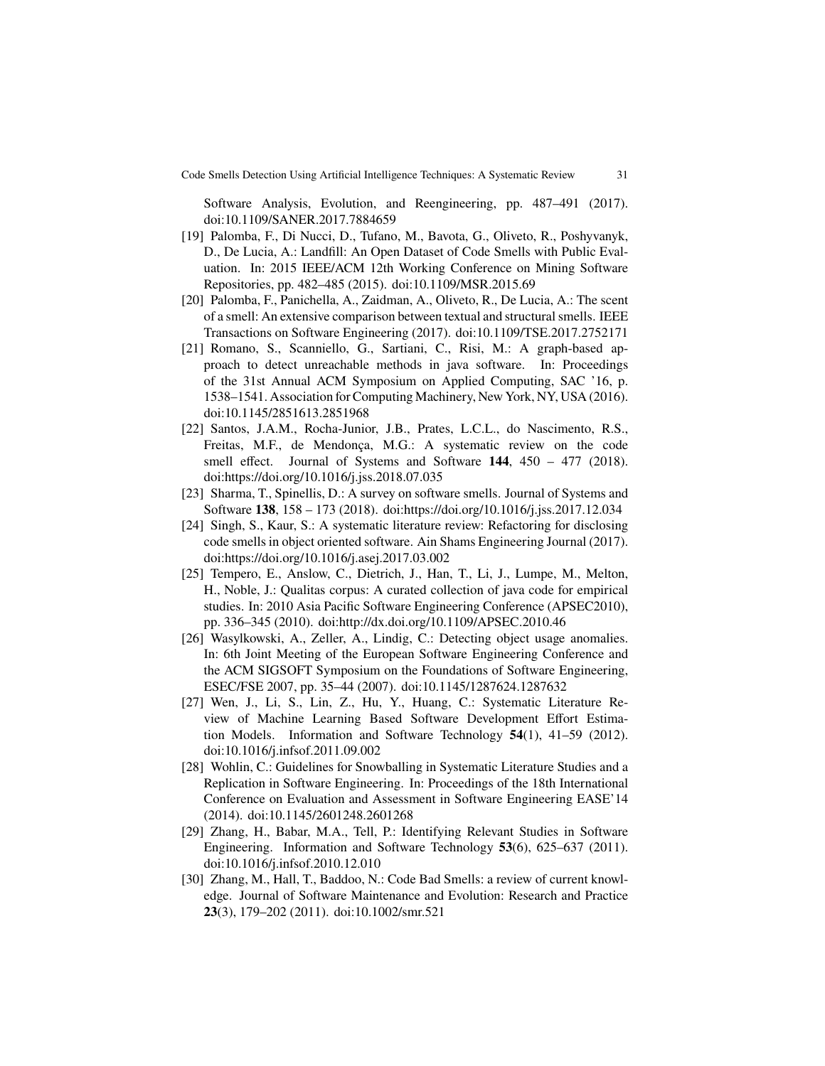Software Analysis, Evolution, and Reengineering, pp. 487–491 (2017). doi[:10.1109/SANER.2017.7884659](https://doi.org/10.1109/SANER.2017.7884659)

- <span id="page-30-10"></span>[19] Palomba, F., Di Nucci, D., Tufano, M., Bavota, G., Oliveto, R., Poshyvanyk, D., De Lucia, A.: Landfill: An Open Dataset of Code Smells with Public Evaluation. In: 2015 IEEE/ACM 12th Working Conference on Mining Software Repositories, pp. 482–485 (2015). doi[:10.1109/MSR.2015.69](https://doi.org/10.1109/MSR.2015.69)
- <span id="page-30-6"></span>[20] Palomba, F., Panichella, A., Zaidman, A., Oliveto, R., De Lucia, A.: The scent of a smell: An extensive comparison between textual and structural smells. IEEE Transactions on Software Engineering (2017). doi[:10.1109/TSE.2017.2752171](https://doi.org/10.1109/TSE.2017.2752171)
- <span id="page-30-7"></span>[21] Romano, S., Scanniello, G., Sartiani, C., Risi, M.: A graph-based approach to detect unreachable methods in java software. In: Proceedings of the 31st Annual ACM Symposium on Applied Computing, SAC '16, p. 1538–1541. Association for Computing Machinery, New York, NY, USA (2016). doi[:10.1145/2851613.2851968](https://doi.org/10.1145/2851613.2851968)
- <span id="page-30-3"></span>[22] Santos, J.A.M., Rocha-Junior, J.B., Prates, L.C.L., do Nascimento, R.S., Freitas, M.F., de Mendonça, M.G.: A systematic review on the code smell effect. Journal of Systems and Software **144**, 450 – 477 (2018). doi[:https://doi.org/10.1016/j.jss.2018.07.035](https://doi.org/https://doi.org/10.1016/j.jss.2018.07.035)
- <span id="page-30-2"></span>[23] Sharma, T., Spinellis, D.: A survey on software smells. Journal of Systems and Software **138**, 158 – 173 (2018). doi[:https://doi.org/10.1016/j.jss.2017.12.034](https://doi.org/https://doi.org/10.1016/j.jss.2017.12.034)
- <span id="page-30-1"></span>[24] Singh, S., Kaur, S.: A systematic literature review: Refactoring for disclosing code smells in object oriented software. Ain Shams Engineering Journal (2017). doi[:https://doi.org/10.1016/j.asej.2017.03.002](https://doi.org/https://doi.org/10.1016/j.asej.2017.03.002)
- <span id="page-30-11"></span>[25] Tempero, E., Anslow, C., Dietrich, J., Han, T., Li, J., Lumpe, M., Melton, H., Noble, J.: Qualitas corpus: A curated collection of java code for empirical studies. In: 2010 Asia Pacific Software Engineering Conference (APSEC2010), pp. 336–345 (2010). doi[:http://dx.doi.org/10.1109/APSEC.2010.46](https://doi.org/http://dx.doi.org/10.1109/APSEC.2010.46)
- <span id="page-30-8"></span>[26] Wasylkowski, A., Zeller, A., Lindig, C.: Detecting object usage anomalies. In: 6th Joint Meeting of the European Software Engineering Conference and the ACM SIGSOFT Symposium on the Foundations of Software Engineering, ESEC/FSE 2007, pp. 35–44 (2007). doi[:10.1145/1287624.1287632](https://doi.org/10.1145/1287624.1287632)
- <span id="page-30-9"></span>[27] Wen, J., Li, S., Lin, Z., Hu, Y., Huang, C.: Systematic Literature Review of Machine Learning Based Software Development Effort Estimation Models. Information and Software Technology **54**(1), 41–59 (2012). doi[:10.1016/j.infsof.2011.09.002](https://doi.org/10.1016/j.infsof.2011.09.002)
- <span id="page-30-5"></span>[28] Wohlin, C.: Guidelines for Snowballing in Systematic Literature Studies and a Replication in Software Engineering. In: Proceedings of the 18th International Conference on Evaluation and Assessment in Software Engineering EASE'14 (2014). doi[:10.1145/2601248.2601268](https://doi.org/10.1145/2601248.2601268)
- <span id="page-30-4"></span>[29] Zhang, H., Babar, M.A., Tell, P.: Identifying Relevant Studies in Software Engineering. Information and Software Technology **53**(6), 625–637 (2011). doi[:10.1016/j.infsof.2010.12.010](https://doi.org/10.1016/j.infsof.2010.12.010)
- <span id="page-30-0"></span>[30] Zhang, M., Hall, T., Baddoo, N.: Code Bad Smells: a review of current knowledge. Journal of Software Maintenance and Evolution: Research and Practice **23**(3), 179–202 (2011). doi[:10.1002/smr.521](https://doi.org/10.1002/smr.521)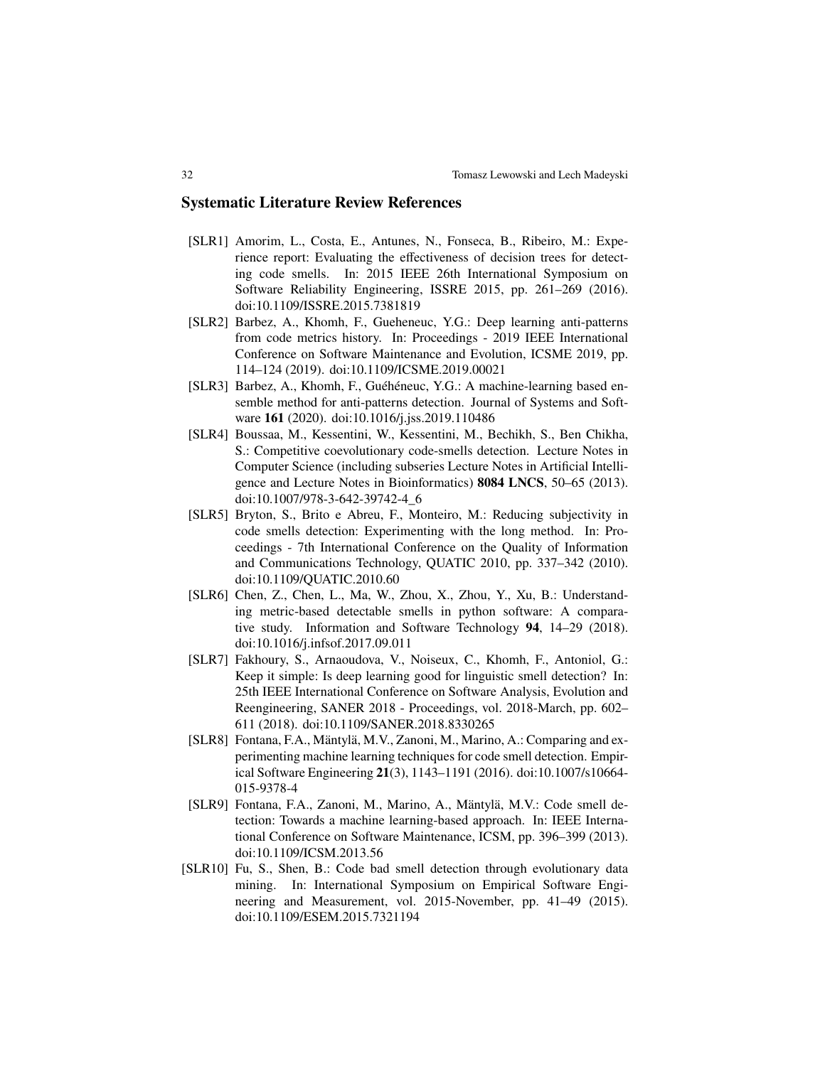# **Systematic Literature Review References**

- [SLR1] Amorim, L., Costa, E., Antunes, N., Fonseca, B., Ribeiro, M.: Experience report: Evaluating the effectiveness of decision trees for detecting code smells. In: 2015 IEEE 26th International Symposium on Software Reliability Engineering, ISSRE 2015, pp. 261–269 (2016). doi[:10.1109/ISSRE.2015.7381819](https://doi.org/10.1109/ISSRE.2015.7381819)
- [SLR2] Barbez, A., Khomh, F., Gueheneuc, Y.G.: Deep learning anti-patterns from code metrics history. In: Proceedings - 2019 IEEE International Conference on Software Maintenance and Evolution, ICSME 2019, pp. 114–124 (2019). doi[:10.1109/ICSME.2019.00021](https://doi.org/10.1109/ICSME.2019.00021)
- [SLR3] Barbez, A., Khomh, F., Guéhéneuc, Y.G.: A machine-learning based ensemble method for anti-patterns detection. Journal of Systems and Software **161** (2020). doi[:10.1016/j.jss.2019.110486](https://doi.org/10.1016/j.jss.2019.110486)
- <span id="page-31-1"></span>[SLR4] Boussaa, M., Kessentini, W., Kessentini, M., Bechikh, S., Ben Chikha, S.: Competitive coevolutionary code-smells detection. Lecture Notes in Computer Science (including subseries Lecture Notes in Artificial Intelligence and Lecture Notes in Bioinformatics) **8084 LNCS**, 50–65 (2013). doi[:10.1007/978-3-642-39742-4\\_6](https://doi.org/10.1007/978-3-642-39742-4_6)
- [SLR5] Bryton, S., Brito e Abreu, F., Monteiro, M.: Reducing subjectivity in code smells detection: Experimenting with the long method. In: Proceedings - 7th International Conference on the Quality of Information and Communications Technology, QUATIC 2010, pp. 337–342 (2010). doi[:10.1109/QUATIC.2010.60](https://doi.org/10.1109/QUATIC.2010.60)
- [SLR6] Chen, Z., Chen, L., Ma, W., Zhou, X., Zhou, Y., Xu, B.: Understanding metric-based detectable smells in python software: A comparative study. Information and Software Technology **94**, 14–29 (2018). doi[:10.1016/j.infsof.2017.09.011](https://doi.org/10.1016/j.infsof.2017.09.011)
- [SLR7] Fakhoury, S., Arnaoudova, V., Noiseux, C., Khomh, F., Antoniol, G.: Keep it simple: Is deep learning good for linguistic smell detection? In: 25th IEEE International Conference on Software Analysis, Evolution and Reengineering, SANER 2018 - Proceedings, vol. 2018-March, pp. 602– 611 (2018). doi[:10.1109/SANER.2018.8330265](https://doi.org/10.1109/SANER.2018.8330265)
- <span id="page-31-0"></span>[SLR8] Fontana, F.A., Mäntylä, M.V., Zanoni, M., Marino, A.: Comparing and experimenting machine learning techniques for code smell detection. Empirical Software Engineering **21**(3), 1143–1191 (2016). doi[:10.1007/s10664-](https://doi.org/10.1007/s10664-015-9378-4) [015-9378-4](https://doi.org/10.1007/s10664-015-9378-4)
- [SLR9] Fontana, F.A., Zanoni, M., Marino, A., Mäntylä, M.V.: Code smell detection: Towards a machine learning-based approach. In: IEEE International Conference on Software Maintenance, ICSM, pp. 396–399 (2013). doi[:10.1109/ICSM.2013.56](https://doi.org/10.1109/ICSM.2013.56)
- [SLR10] Fu, S., Shen, B.: Code bad smell detection through evolutionary data mining. In: International Symposium on Empirical Software Engineering and Measurement, vol. 2015-November, pp. 41–49 (2015). doi[:10.1109/ESEM.2015.7321194](https://doi.org/10.1109/ESEM.2015.7321194)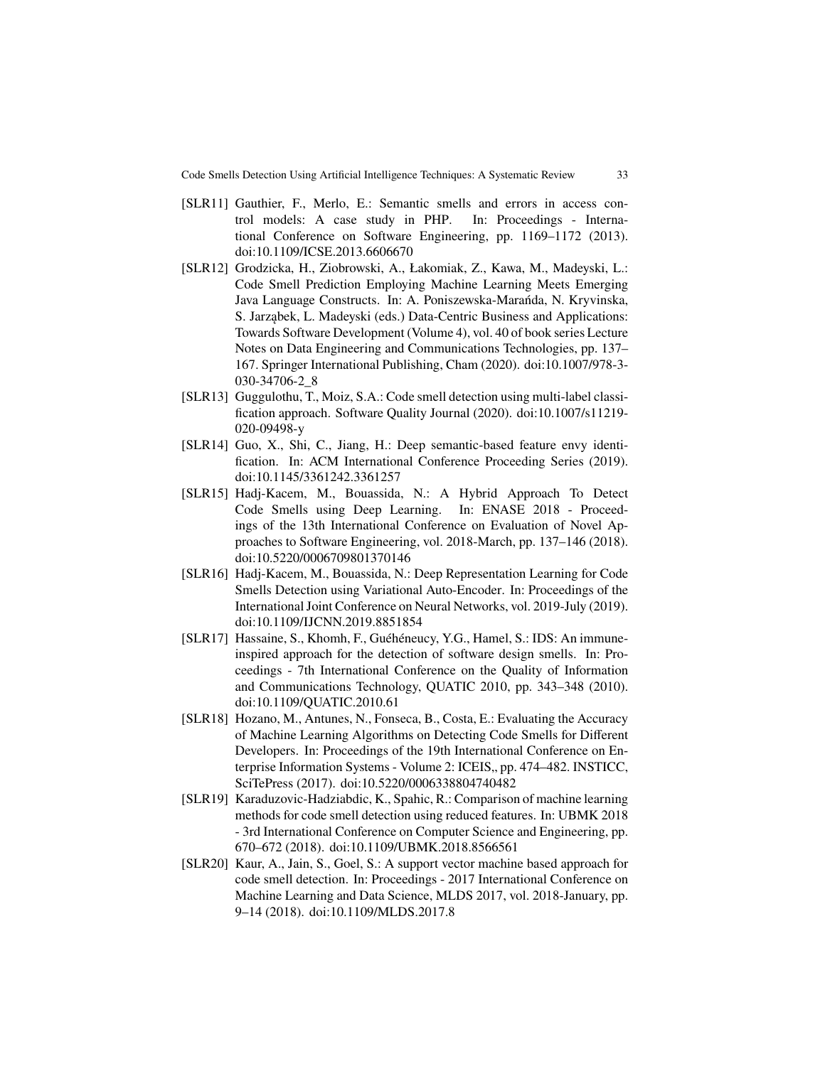- [SLR11] Gauthier, F., Merlo, E.: Semantic smells and errors in access control models: A case study in PHP. In: Proceedings - International Conference on Software Engineering, pp. 1169–1172 (2013). doi[:10.1109/ICSE.2013.6606670](https://doi.org/10.1109/ICSE.2013.6606670)
- <span id="page-32-0"></span>[SLR12] Grodzicka, H., Ziobrowski, A., Łakomiak, Z., Kawa, M., Madeyski, L.: Code Smell Prediction Employing Machine Learning Meets Emerging Java Language Constructs. In: A. Poniszewska-Marańda, N. Kryvinska, S. Jarzabek, L. Madeyski (eds.) Data-Centric Business and Applications: Towards Software Development (Volume 4), vol. 40 of book series Lecture Notes on Data Engineering and Communications Technologies, pp. 137– 167. Springer International Publishing, Cham (2020). doi[:10.1007/978-3-](https://doi.org/10.1007/978-3-030-34706-2_8) [030-34706-2\\_8](https://doi.org/10.1007/978-3-030-34706-2_8)
- <span id="page-32-2"></span>[SLR13] Guggulothu, T., Moiz, S.A.: Code smell detection using multi-label classification approach. Software Quality Journal (2020). doi[:10.1007/s11219-](https://doi.org/10.1007/s11219-020-09498-y) [020-09498-y](https://doi.org/10.1007/s11219-020-09498-y)
- [SLR14] Guo, X., Shi, C., Jiang, H.: Deep semantic-based feature envy identification. In: ACM International Conference Proceeding Series (2019). doi[:10.1145/3361242.3361257](https://doi.org/10.1145/3361242.3361257)
- [SLR15] Hadj-Kacem, M., Bouassida, N.: A Hybrid Approach To Detect Code Smells using Deep Learning. In: ENASE 2018 - Proceedings of the 13th International Conference on Evaluation of Novel Approaches to Software Engineering, vol. 2018-March, pp. 137–146 (2018). doi[:10.5220/0006709801370146](https://doi.org/10.5220/0006709801370146)
- <span id="page-32-1"></span>[SLR16] Hadj-Kacem, M., Bouassida, N.: Deep Representation Learning for Code Smells Detection using Variational Auto-Encoder. In: Proceedings of the International Joint Conference on Neural Networks, vol. 2019-July (2019). doi[:10.1109/IJCNN.2019.8851854](https://doi.org/10.1109/IJCNN.2019.8851854)
- [SLR17] Hassaine, S., Khomh, F., Guéhéneucy, Y.G., Hamel, S.: IDS: An immuneinspired approach for the detection of software design smells. In: Proceedings - 7th International Conference on the Quality of Information and Communications Technology, QUATIC 2010, pp. 343–348 (2010). doi[:10.1109/QUATIC.2010.61](https://doi.org/10.1109/QUATIC.2010.61)
- <span id="page-32-3"></span>[SLR18] Hozano, M., Antunes, N., Fonseca, B., Costa, E.: Evaluating the Accuracy of Machine Learning Algorithms on Detecting Code Smells for Different Developers. In: Proceedings of the 19th International Conference on Enterprise Information Systems - Volume 2: ICEIS,, pp. 474–482. INSTICC, SciTePress (2017). doi[:10.5220/0006338804740482](https://doi.org/10.5220/0006338804740482)
- [SLR19] Karaduzovic-Hadziabdic, K., Spahic, R.: Comparison of machine learning methods for code smell detection using reduced features. In: UBMK 2018 - 3rd International Conference on Computer Science and Engineering, pp. 670–672 (2018). doi[:10.1109/UBMK.2018.8566561](https://doi.org/10.1109/UBMK.2018.8566561)
- [SLR20] Kaur, A., Jain, S., Goel, S.: A support vector machine based approach for code smell detection. In: Proceedings - 2017 International Conference on Machine Learning and Data Science, MLDS 2017, vol. 2018-January, pp. 9–14 (2018). doi[:10.1109/MLDS.2017.8](https://doi.org/10.1109/MLDS.2017.8)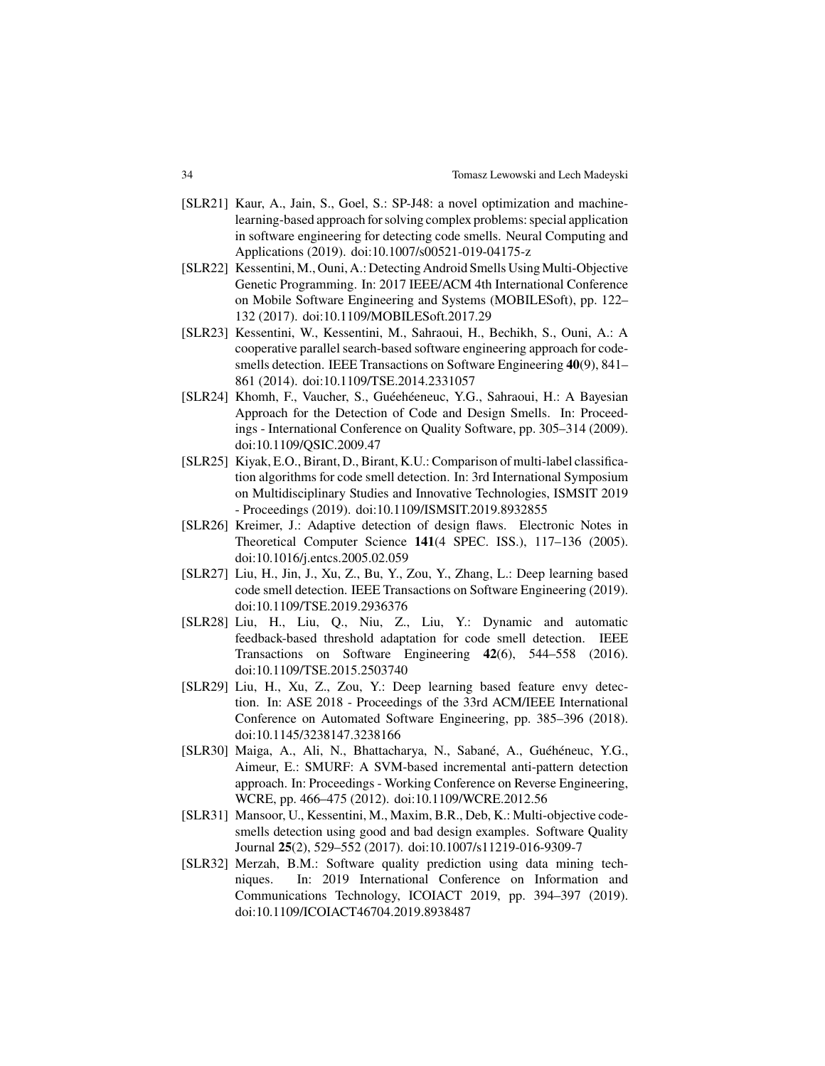- <span id="page-33-3"></span>[SLR21] Kaur, A., Jain, S., Goel, S.: SP-J48: a novel optimization and machinelearning-based approach for solving complex problems: special application in software engineering for detecting code smells. Neural Computing and Applications (2019). doi[:10.1007/s00521-019-04175-z](https://doi.org/10.1007/s00521-019-04175-z)
- <span id="page-33-2"></span>[SLR22] Kessentini, M., Ouni, A.: Detecting Android Smells Using Multi-Objective Genetic Programming. In: 2017 IEEE/ACM 4th International Conference on Mobile Software Engineering and Systems (MOBILESoft), pp. 122– 132 (2017). doi[:10.1109/MOBILESoft.2017.29](https://doi.org/10.1109/MOBILESoft.2017.29)
- <span id="page-33-4"></span>[SLR23] Kessentini, W., Kessentini, M., Sahraoui, H., Bechikh, S., Ouni, A.: A cooperative parallel search-based software engineering approach for codesmells detection. IEEE Transactions on Software Engineering **40**(9), 841– 861 (2014). doi[:10.1109/TSE.2014.2331057](https://doi.org/10.1109/TSE.2014.2331057)
- [SLR24] Khomh, F., Vaucher, S., Guéehéeneuc, Y.G., Sahraoui, H.: A Bayesian Approach for the Detection of Code and Design Smells. In: Proceedings - International Conference on Quality Software, pp. 305–314 (2009). doi[:10.1109/QSIC.2009.47](https://doi.org/10.1109/QSIC.2009.47)
- [SLR25] Kiyak, E.O., Birant, D., Birant, K.U.: Comparison of multi-label classification algorithms for code smell detection. In: 3rd International Symposium on Multidisciplinary Studies and Innovative Technologies, ISMSIT 2019 - Proceedings (2019). doi[:10.1109/ISMSIT.2019.8932855](https://doi.org/10.1109/ISMSIT.2019.8932855)
- [SLR26] Kreimer, J.: Adaptive detection of design flaws. Electronic Notes in Theoretical Computer Science **141**(4 SPEC. ISS.), 117–136 (2005). doi[:10.1016/j.entcs.2005.02.059](https://doi.org/10.1016/j.entcs.2005.02.059)
- <span id="page-33-1"></span>[SLR27] Liu, H., Jin, J., Xu, Z., Bu, Y., Zou, Y., Zhang, L.: Deep learning based code smell detection. IEEE Transactions on Software Engineering (2019). doi[:10.1109/TSE.2019.2936376](https://doi.org/10.1109/TSE.2019.2936376)
- [SLR28] Liu, H., Liu, Q., Niu, Z., Liu, Y.: Dynamic and automatic feedback-based threshold adaptation for code smell detection. IEEE Transactions on Software Engineering **42**(6), 544–558 (2016). doi[:10.1109/TSE.2015.2503740](https://doi.org/10.1109/TSE.2015.2503740)
- <span id="page-33-5"></span>[SLR29] Liu, H., Xu, Z., Zou, Y.: Deep learning based feature envy detection. In: ASE 2018 - Proceedings of the 33rd ACM/IEEE International Conference on Automated Software Engineering, pp. 385–396 (2018). doi[:10.1145/3238147.3238166](https://doi.org/10.1145/3238147.3238166)
- [SLR30] Maiga, A., Ali, N., Bhattacharya, N., Sabané, A., Guéhéneuc, Y.G., Aimeur, E.: SMURF: A SVM-based incremental anti-pattern detection approach. In: Proceedings - Working Conference on Reverse Engineering, WCRE, pp. 466–475 (2012). doi[:10.1109/WCRE.2012.56](https://doi.org/10.1109/WCRE.2012.56)
- <span id="page-33-0"></span>[SLR31] Mansoor, U., Kessentini, M., Maxim, B.R., Deb, K.: Multi-objective codesmells detection using good and bad design examples. Software Quality Journal **25**(2), 529–552 (2017). doi[:10.1007/s11219-016-9309-7](https://doi.org/10.1007/s11219-016-9309-7)
- [SLR32] Merzah, B.M.: Software quality prediction using data mining techniques. In: 2019 International Conference on Information and Communications Technology, ICOIACT 2019, pp. 394–397 (2019). doi[:10.1109/ICOIACT46704.2019.8938487](https://doi.org/10.1109/ICOIACT46704.2019.8938487)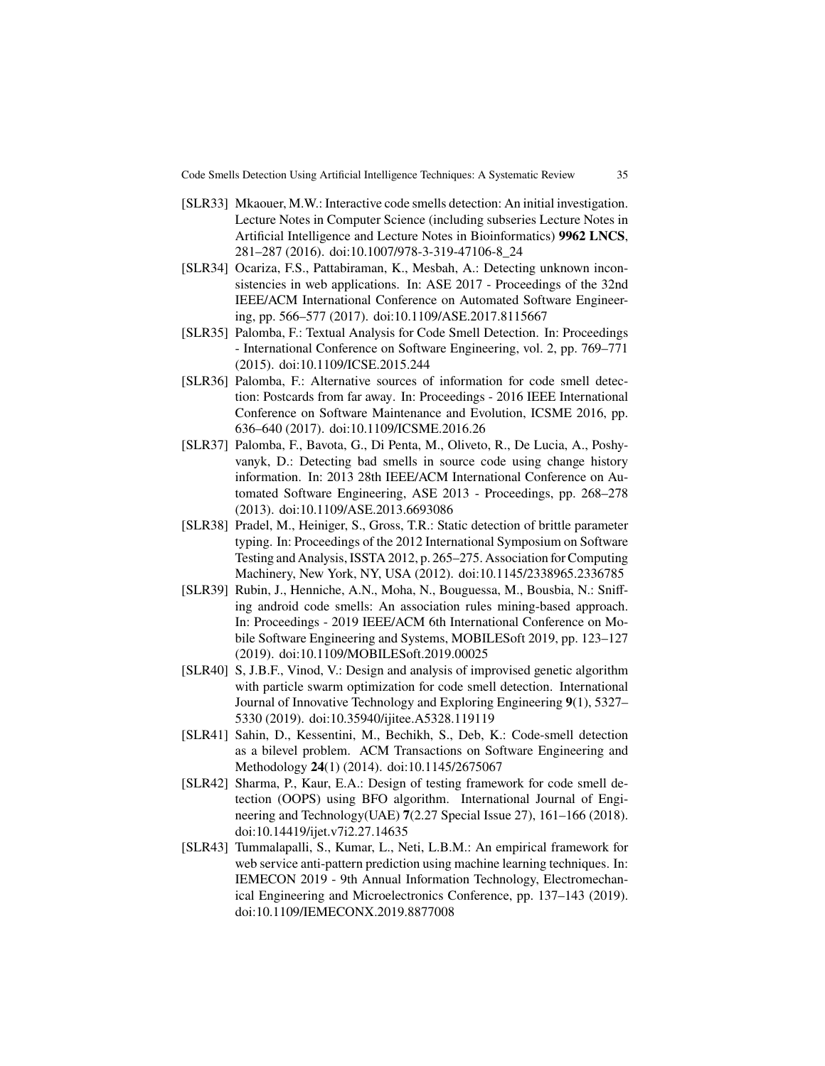- [SLR33] Mkaouer, M.W.: Interactive code smells detection: An initial investigation. Lecture Notes in Computer Science (including subseries Lecture Notes in Artificial Intelligence and Lecture Notes in Bioinformatics) **9962 LNCS**, 281–287 (2016). doi[:10.1007/978-3-319-47106-8\\_24](https://doi.org/10.1007/978-3-319-47106-8_24)
- <span id="page-34-2"></span>[SLR34] Ocariza, F.S., Pattabiraman, K., Mesbah, A.: Detecting unknown inconsistencies in web applications. In: ASE 2017 - Proceedings of the 32nd IEEE/ACM International Conference on Automated Software Engineering, pp. 566–577 (2017). doi[:10.1109/ASE.2017.8115667](https://doi.org/10.1109/ASE.2017.8115667)
- [SLR35] Palomba, F.: Textual Analysis for Code Smell Detection. In: Proceedings - International Conference on Software Engineering, vol. 2, pp. 769–771 (2015). doi[:10.1109/ICSE.2015.244](https://doi.org/10.1109/ICSE.2015.244)
- <span id="page-34-0"></span>[SLR36] Palomba, F.: Alternative sources of information for code smell detection: Postcards from far away. In: Proceedings - 2016 IEEE International Conference on Software Maintenance and Evolution, ICSME 2016, pp. 636–640 (2017). doi[:10.1109/ICSME.2016.26](https://doi.org/10.1109/ICSME.2016.26)
- [SLR37] Palomba, F., Bavota, G., Di Penta, M., Oliveto, R., De Lucia, A., Poshyvanyk, D.: Detecting bad smells in source code using change history information. In: 2013 28th IEEE/ACM International Conference on Automated Software Engineering, ASE 2013 - Proceedings, pp. 268–278 (2013). doi[:10.1109/ASE.2013.6693086](https://doi.org/10.1109/ASE.2013.6693086)
- [SLR38] Pradel, M., Heiniger, S., Gross, T.R.: Static detection of brittle parameter typing. In: Proceedings of the 2012 International Symposium on Software Testing and Analysis, ISSTA 2012, p. 265–275. Association for Computing Machinery, New York, NY, USA (2012). doi[:10.1145/2338965.2336785](https://doi.org/10.1145/2338965.2336785)
- <span id="page-34-3"></span>[SLR39] Rubin, J., Henniche, A.N., Moha, N., Bouguessa, M., Bousbia, N.: Sniffing android code smells: An association rules mining-based approach. In: Proceedings - 2019 IEEE/ACM 6th International Conference on Mobile Software Engineering and Systems, MOBILESoft 2019, pp. 123–127 (2019). doi[:10.1109/MOBILESoft.2019.00025](https://doi.org/10.1109/MOBILESoft.2019.00025)
- [SLR40] S, J.B.F., Vinod, V.: Design and analysis of improvised genetic algorithm with particle swarm optimization for code smell detection. International Journal of Innovative Technology and Exploring Engineering **9**(1), 5327– 5330 (2019). doi[:10.35940/ijitee.A5328.119119](https://doi.org/10.35940/ijitee.A5328.119119)
- <span id="page-34-1"></span>[SLR41] Sahin, D., Kessentini, M., Bechikh, S., Deb, K.: Code-smell detection as a bilevel problem. ACM Transactions on Software Engineering and Methodology **24**(1) (2014). doi[:10.1145/2675067](https://doi.org/10.1145/2675067)
- [SLR42] Sharma, P., Kaur, E.A.: Design of testing framework for code smell detection (OOPS) using BFO algorithm. International Journal of Engineering and Technology(UAE) **7**(2.27 Special Issue 27), 161–166 (2018). doi[:10.14419/ijet.v7i2.27.14635](https://doi.org/10.14419/ijet.v7i2.27.14635)
- [SLR43] Tummalapalli, S., Kumar, L., Neti, L.B.M.: An empirical framework for web service anti-pattern prediction using machine learning techniques. In: IEMECON 2019 - 9th Annual Information Technology, Electromechanical Engineering and Microelectronics Conference, pp. 137–143 (2019). doi[:10.1109/IEMECONX.2019.8877008](https://doi.org/10.1109/IEMECONX.2019.8877008)